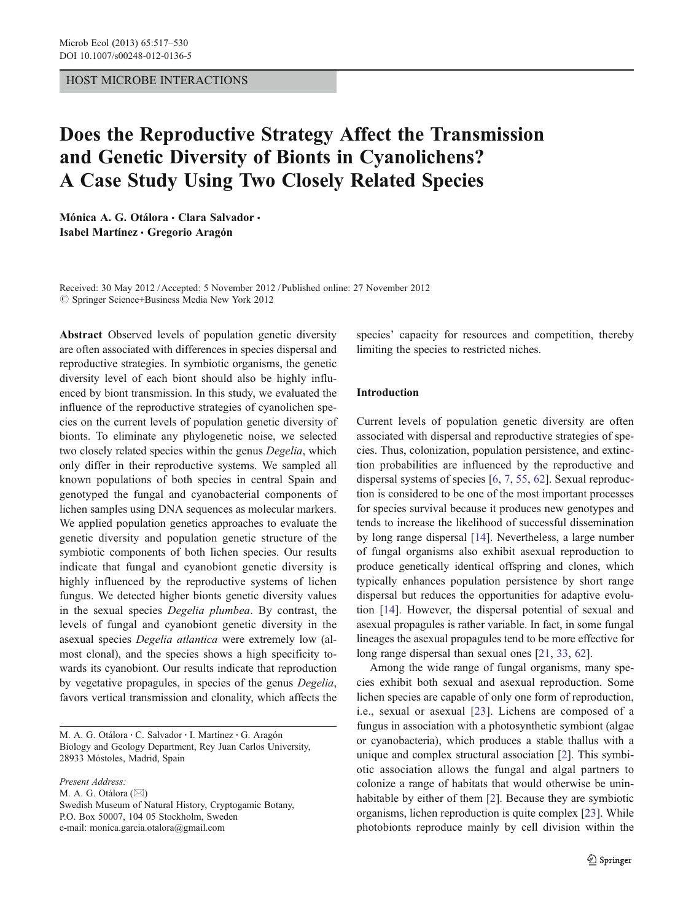# HOST MICROBE INTERACTIONS

# Does the Reproductive Strategy Affect the Transmission and Genetic Diversity of Bionts in Cyanolichens? A Case Study Using Two Closely Related Species

Mónica A. G. Otálora · Clara Salvador · Isabel Martínez & Gregorio Aragón

Received: 30 May 2012 / Accepted: 5 November 2012 / Published online: 27 November 2012  $\circledcirc$  Springer Science+Business Media New York 2012

Abstract Observed levels of population genetic diversity are often associated with differences in species dispersal and reproductive strategies. In symbiotic organisms, the genetic diversity level of each biont should also be highly influenced by biont transmission. In this study, we evaluated the influence of the reproductive strategies of cyanolichen species on the current levels of population genetic diversity of bionts. To eliminate any phylogenetic noise, we selected two closely related species within the genus Degelia, which only differ in their reproductive systems. We sampled all known populations of both species in central Spain and genotyped the fungal and cyanobacterial components of lichen samples using DNA sequences as molecular markers. We applied population genetics approaches to evaluate the genetic diversity and population genetic structure of the symbiotic components of both lichen species. Our results indicate that fungal and cyanobiont genetic diversity is highly influenced by the reproductive systems of lichen fungus. We detected higher bionts genetic diversity values in the sexual species Degelia plumbea. By contrast, the levels of fungal and cyanobiont genetic diversity in the asexual species Degelia atlantica were extremely low (almost clonal), and the species shows a high specificity towards its cyanobiont. Our results indicate that reproduction by vegetative propagules, in species of the genus Degelia, favors vertical transmission and clonality, which affects the

M. A. G. Otálora : C. Salvador : I. Martínez : G. Aragón Biology and Geology Department, Rey Juan Carlos University, 28933 Móstoles, Madrid, Spain

Present Address: M. A. G. Otálora  $(\boxtimes)$ Swedish Museum of Natural History, Cryptogamic Botany, P.O. Box 50007, 104 05 Stockholm, Sweden e-mail: monica.garcia.otalora@gmail.com

species' capacity for resources and competition, thereby limiting the species to restricted niches.

#### Introduction

Current levels of population genetic diversity are often associated with dispersal and reproductive strategies of species. Thus, colonization, population persistence, and extinction probabilities are influenced by the reproductive and dispersal systems of species [[6,](#page-11-0) [7,](#page-11-0) [55,](#page-13-0) [62](#page-13-0)]. Sexual reproduction is considered to be one of the most important processes for species survival because it produces new genotypes and tends to increase the likelihood of successful dissemination by long range dispersal [\[14](#page-12-0)]. Nevertheless, a large number of fungal organisms also exhibit asexual reproduction to produce genetically identical offspring and clones, which typically enhances population persistence by short range dispersal but reduces the opportunities for adaptive evolution [\[14](#page-12-0)]. However, the dispersal potential of sexual and asexual propagules is rather variable. In fact, in some fungal lineages the asexual propagules tend to be more effective for long range dispersal than sexual ones [\[21](#page-12-0), [33,](#page-12-0) [62](#page-13-0)].

Among the wide range of fungal organisms, many species exhibit both sexual and asexual reproduction. Some lichen species are capable of only one form of reproduction, i.e., sexual or asexual [\[23](#page-12-0)]. Lichens are composed of a fungus in association with a photosynthetic symbiont (algae or cyanobacteria), which produces a stable thallus with a unique and complex structural association [\[2](#page-11-0)]. This symbiotic association allows the fungal and algal partners to colonize a range of habitats that would otherwise be uninhabitable by either of them [[2\]](#page-11-0). Because they are symbiotic organisms, lichen reproduction is quite complex [[23\]](#page-12-0). While photobionts reproduce mainly by cell division within the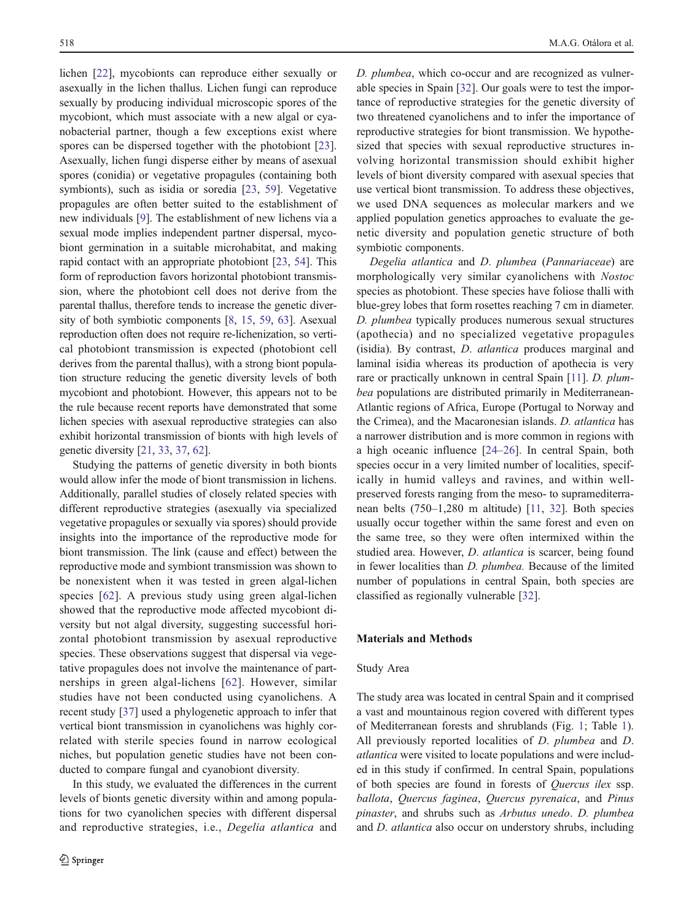lichen [[22\]](#page-12-0), mycobionts can reproduce either sexually or asexually in the lichen thallus. Lichen fungi can reproduce sexually by producing individual microscopic spores of the mycobiont, which must associate with a new algal or cyanobacterial partner, though a few exceptions exist where spores can be dispersed together with the photobiont [\[23](#page-12-0)]. Asexually, lichen fungi disperse either by means of asexual spores (conidia) or vegetative propagules (containing both symbionts), such as isidia or soredia [[23,](#page-12-0) [59](#page-13-0)]. Vegetative propagules are often better suited to the establishment of new individuals [\[9](#page-12-0)]. The establishment of new lichens via a sexual mode implies independent partner dispersal, mycobiont germination in a suitable microhabitat, and making rapid contact with an appropriate photobiont [\[23](#page-12-0), [54\]](#page-13-0). This form of reproduction favors horizontal photobiont transmission, where the photobiont cell does not derive from the parental thallus, therefore tends to increase the genetic diversity of both symbiotic components [\[8,](#page-12-0) [15,](#page-12-0) [59](#page-13-0), [63](#page-13-0)]. Asexual reproduction often does not require re-lichenization, so vertical photobiont transmission is expected (photobiont cell derives from the parental thallus), with a strong biont population structure reducing the genetic diversity levels of both mycobiont and photobiont. However, this appears not to be the rule because recent reports have demonstrated that some lichen species with asexual reproductive strategies can also exhibit horizontal transmission of bionts with high levels of genetic diversity [\[21,](#page-12-0) [33,](#page-12-0) [37](#page-12-0), [62](#page-13-0)].

Studying the patterns of genetic diversity in both bionts would allow infer the mode of biont transmission in lichens. Additionally, parallel studies of closely related species with different reproductive strategies (asexually via specialized vegetative propagules or sexually via spores) should provide insights into the importance of the reproductive mode for biont transmission. The link (cause and effect) between the reproductive mode and symbiont transmission was shown to be nonexistent when it was tested in green algal-lichen species [\[62\]](#page-13-0). A previous study using green algal-lichen showed that the reproductive mode affected mycobiont diversity but not algal diversity, suggesting successful horizontal photobiont transmission by asexual reproductive species. These observations suggest that dispersal via vegetative propagules does not involve the maintenance of partnerships in green algal-lichens [[62](#page-13-0)]. However, similar studies have not been conducted using cyanolichens. A recent study [\[37](#page-12-0)] used a phylogenetic approach to infer that vertical biont transmission in cyanolichens was highly correlated with sterile species found in narrow ecological niches, but population genetic studies have not been conducted to compare fungal and cyanobiont diversity.

In this study, we evaluated the differences in the current levels of bionts genetic diversity within and among populations for two cyanolichen species with different dispersal and reproductive strategies, i.e., Degelia atlantica and D. plumbea, which co-occur and are recognized as vulnerable species in Spain [[32\]](#page-12-0). Our goals were to test the importance of reproductive strategies for the genetic diversity of two threatened cyanolichens and to infer the importance of reproductive strategies for biont transmission. We hypothesized that species with sexual reproductive structures involving horizontal transmission should exhibit higher levels of biont diversity compared with asexual species that use vertical biont transmission. To address these objectives, we used DNA sequences as molecular markers and we applied population genetics approaches to evaluate the genetic diversity and population genetic structure of both symbiotic components.

Degelia atlantica and D. plumbea (Pannariaceae) are morphologically very similar cyanolichens with Nostoc species as photobiont. These species have foliose thalli with blue-grey lobes that form rosettes reaching 7 cm in diameter. D. plumbea typically produces numerous sexual structures (apothecia) and no specialized vegetative propagules (isidia). By contrast, D. atlantica produces marginal and laminal isidia whereas its production of apothecia is very rare or practically unknown in central Spain [[11\]](#page-12-0). D. plumbea populations are distributed primarily in Mediterranean-Atlantic regions of Africa, Europe (Portugal to Norway and the Crimea), and the Macaronesian islands. D. atlantica has a narrower distribution and is more common in regions with a high oceanic influence [\[24](#page-12-0)–[26](#page-12-0)]. In central Spain, both species occur in a very limited number of localities, specifically in humid valleys and ravines, and within wellpreserved forests ranging from the meso- to supramediterranean belts (750–1,280 m altitude) [\[11,](#page-12-0) [32\]](#page-12-0). Both species usually occur together within the same forest and even on the same tree, so they were often intermixed within the studied area. However, D. atlantica is scarcer, being found in fewer localities than D. plumbea. Because of the limited number of populations in central Spain, both species are classified as regionally vulnerable [\[32](#page-12-0)].

# Materials and Methods

# Study Area

The study area was located in central Spain and it comprised a vast and mountainous region covered with different types of Mediterranean forests and shrublands (Fig. [1;](#page-2-0) Table [1\)](#page-2-0). All previously reported localities of D. plumbea and D. atlantica were visited to locate populations and were included in this study if confirmed. In central Spain, populations of both species are found in forests of Quercus ilex ssp. ballota, Quercus faginea, Quercus pyrenaica, and Pinus pinaster, and shrubs such as Arbutus unedo. D. plumbea and D. atlantica also occur on understory shrubs, including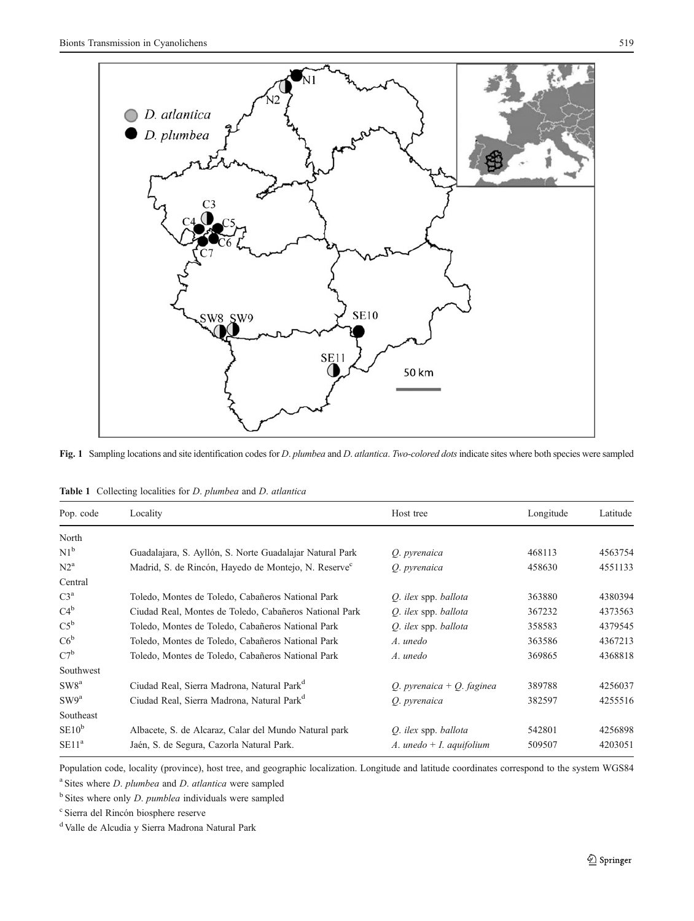<span id="page-2-0"></span>

Fig. 1 Sampling locations and site identification codes for *D. plumbea* and *D. atlantica. Two-colored dots* indicate sites where both species were sampled

| Pop. code         | Locality                                                         | Host tree                  | Longitude | Latitude |
|-------------------|------------------------------------------------------------------|----------------------------|-----------|----------|
| North             |                                                                  |                            |           |          |
| $N1^b$            | Guadalajara, S. Ayllón, S. Norte Guadalajar Natural Park         | O. pyrenaica               | 468113    | 4563754  |
| $N2^a$            | Madrid, S. de Rincón, Hayedo de Montejo, N. Reserve <sup>c</sup> | O. pyrenaica               | 458630    | 4551133  |
| Central           |                                                                  |                            |           |          |
| $C3^a$            | Toledo, Montes de Toledo, Cabañeros National Park                | Q. ilex spp. ballota       | 363880    | 4380394  |
| $C4^b$            | Ciudad Real, Montes de Toledo, Cabañeros National Park           | O. ilex spp. ballota       | 367232    | 4373563  |
| $C5^b$            | Toledo, Montes de Toledo, Cabañeros National Park                | O. ilex spp. ballota       | 358583    | 4379545  |
| $C6^b$            | Toledo, Montes de Toledo, Cabañeros National Park                | A. unedo                   | 363586    | 4367213  |
| $C7^b$            | Toledo, Montes de Toledo, Cabañeros National Park                | A. unedo                   | 369865    | 4368818  |
| Southwest         |                                                                  |                            |           |          |
| $SW8^a$           | Ciudad Real, Sierra Madrona, Natural Park <sup>d</sup>           | O. pyrenaica + O. faginea  | 389788    | 4256037  |
| $SW9^a$           | Ciudad Real, Sierra Madrona, Natural Park <sup>d</sup>           | O. pyrenaica               | 382597    | 4255516  |
| Southeast         |                                                                  |                            |           |          |
| $SE10^b$          | Albacete, S. de Alcaraz, Calar del Mundo Natural park            | Q. ilex spp. ballota       | 542801    | 4256898  |
| SE11 <sup>a</sup> | Jaén, S. de Segura, Cazorla Natural Park.                        | A. unedo $+$ I. aquifolium | 509507    | 4203051  |

Population code, locality (province), host tree, and geographic localization. Longitude and latitude coordinates correspond to the system WGS84

 $a<sup>a</sup>$  Sites where *D. plumbea* and *D. atlantica* were sampled

 $<sup>b</sup>$  Sites where only *D. pumblea* individuals were sampled</sup>

<sup>c</sup> Sierra del Rincón biosphere reserve

<sup>d</sup> Valle de Alcudia y Sierra Madrona Natural Park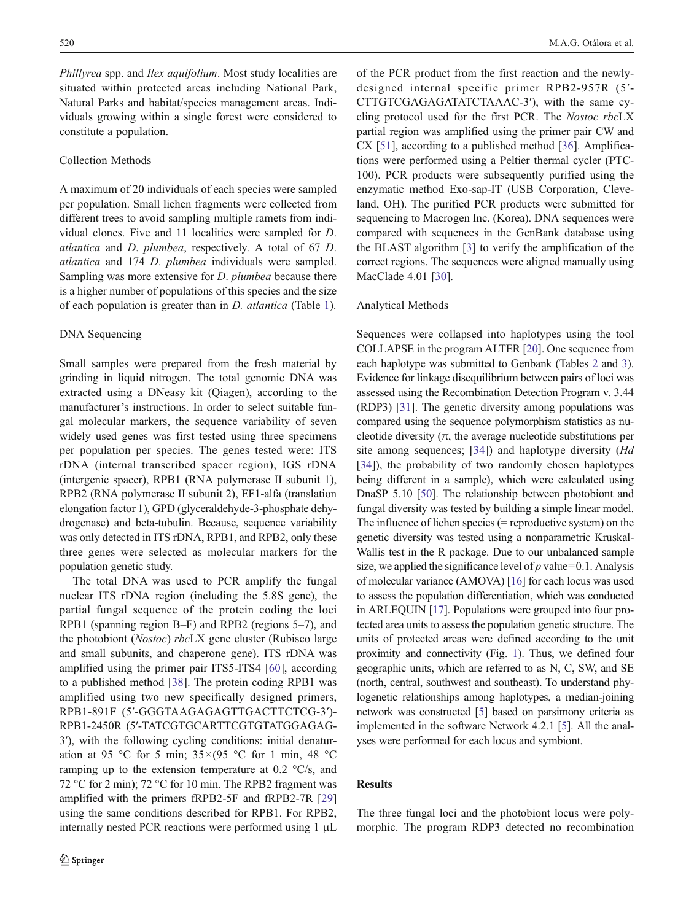Phillyrea spp. and *Ilex aquifolium*. Most study localities are situated within protected areas including National Park, Natural Parks and habitat/species management areas. Individuals growing within a single forest were considered to constitute a population.

# Collection Methods

A maximum of 20 individuals of each species were sampled per population. Small lichen fragments were collected from different trees to avoid sampling multiple ramets from individual clones. Five and 11 localities were sampled for D. atlantica and D. plumbea, respectively. A total of 67 D. atlantica and 174 D. plumbea individuals were sampled. Sampling was more extensive for *D. plumbea* because there is a higher number of populations of this species and the size of each population is greater than in D. atlantica (Table [1](#page-2-0)).

# DNA Sequencing

Small samples were prepared from the fresh material by grinding in liquid nitrogen. The total genomic DNA was extracted using a DNeasy kit (Qiagen), according to the manufacturer's instructions. In order to select suitable fungal molecular markers, the sequence variability of seven widely used genes was first tested using three specimens per population per species. The genes tested were: ITS rDNA (internal transcribed spacer region), IGS rDNA (intergenic spacer), RPB1 (RNA polymerase II subunit 1), RPB2 (RNA polymerase II subunit 2), EF1-alfa (translation elongation factor 1), GPD (glyceraldehyde-3-phosphate dehydrogenase) and beta-tubulin. Because, sequence variability was only detected in ITS rDNA, RPB1, and RPB2, only these three genes were selected as molecular markers for the population genetic study.

The total DNA was used to PCR amplify the fungal nuclear ITS rDNA region (including the 5.8S gene), the partial fungal sequence of the protein coding the loci RPB1 (spanning region B–F) and RPB2 (regions 5–7), and the photobiont (Nostoc) rbcLX gene cluster (Rubisco large and small subunits, and chaperone gene). ITS rDNA was amplified using the primer pair ITS5-ITS4 [[60\]](#page-13-0), according to a published method [[38\]](#page-12-0). The protein coding RPB1 was amplified using two new specifically designed primers, RPB1-891F (5′-GGGTAAGAGAGTTGACTTCTCG-3′)- RPB1-2450R (5′-TATCGTGCARTTCGTGTATGGAGAG-3′), with the following cycling conditions: initial denaturation at 95 °C for 5 min;  $35 \times (95$  °C for 1 min, 48 °C ramping up to the extension temperature at 0.2  $\textdegree$ C/s, and 72 °C for 2 min); 72 °C for 10 min. The RPB2 fragment was amplified with the primers fRPB2-5F and fRPB2-7R [[29\]](#page-12-0) using the same conditions described for RPB1. For RPB2, internally nested PCR reactions were performed using 1 μL of the PCR product from the first reaction and the newlydesigned internal specific primer RPB2-957R (5′- CTTGTCGAGAGATATCTAAAC-3′), with the same cycling protocol used for the first PCR. The Nostoc rbcLX partial region was amplified using the primer pair CW and CX [\[51](#page-13-0)], according to a published method [\[36](#page-12-0)]. Amplifications were performed using a Peltier thermal cycler (PTC-100). PCR products were subsequently purified using the enzymatic method Exo-sap-IT (USB Corporation, Cleveland, OH). The purified PCR products were submitted for sequencing to Macrogen Inc. (Korea). DNA sequences were compared with sequences in the GenBank database using the BLAST algorithm [\[3](#page-11-0)] to verify the amplification of the correct regions. The sequences were aligned manually using MacClade 4.01 [\[30](#page-12-0)].

#### Analytical Methods

Sequences were collapsed into haplotypes using the tool COLLAPSE in the program ALTER [\[20\]](#page-12-0). One sequence from each haplotype was submitted to Genbank (Tables [2](#page-4-0) and [3\)](#page-5-0). Evidence for linkage disequilibrium between pairs of loci was assessed using the Recombination Detection Program v. 3.44 (RDP3) [\[31\]](#page-12-0). The genetic diversity among populations was compared using the sequence polymorphism statistics as nucleotide diversity ( $\pi$ , the average nucleotide substitutions per site among sequences; [\[34](#page-12-0)]) and haplotype diversity (*Hd*) [\[34](#page-12-0)]), the probability of two randomly chosen haplotypes being different in a sample), which were calculated using DnaSP 5.10 [\[50\]](#page-12-0). The relationship between photobiont and fungal diversity was tested by building a simple linear model. The influence of lichen species  $(=$  reproductive system) on the genetic diversity was tested using a nonparametric Kruskal-Wallis test in the R package. Due to our unbalanced sample size, we applied the significance level of  $p$  value=0.1. Analysis of molecular variance (AMOVA) [\[16](#page-12-0)] for each locus was used to assess the population differentiation, which was conducted in ARLEQUIN [\[17](#page-12-0)]. Populations were grouped into four protected area units to assess the population genetic structure. The units of protected areas were defined according to the unit proximity and connectivity (Fig. [1\)](#page-2-0). Thus, we defined four geographic units, which are referred to as N, C, SW, and SE (north, central, southwest and southeast). To understand phylogenetic relationships among haplotypes, a median-joining network was constructed [[5\]](#page-11-0) based on parsimony criteria as implemented in the software Network 4.2.1 [\[5\]](#page-11-0). All the analyses were performed for each locus and symbiont.

# Results

The three fungal loci and the photobiont locus were polymorphic. The program RDP3 detected no recombination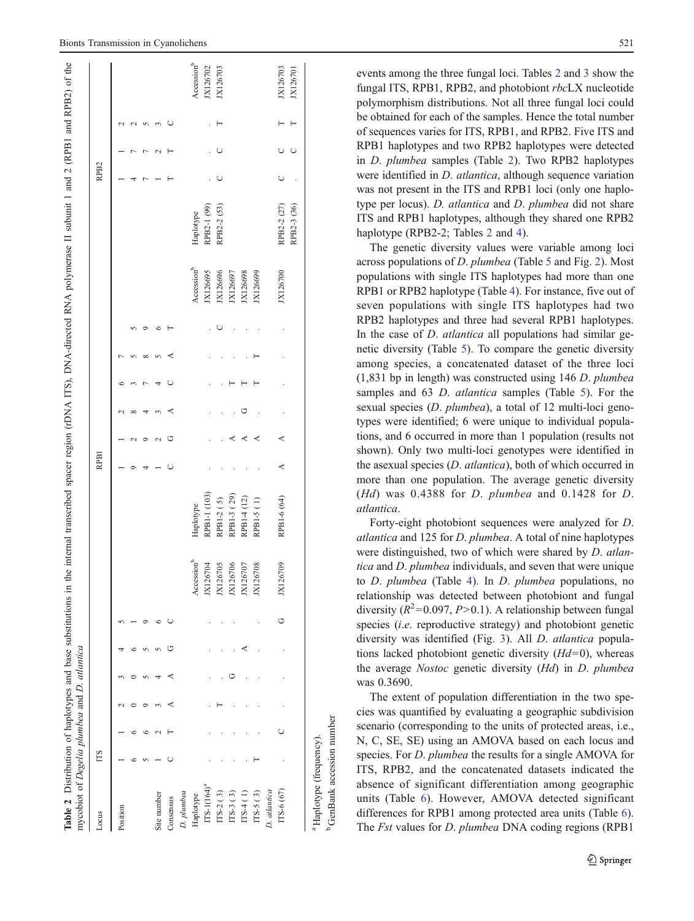<span id="page-4-0"></span>

| Locus            | ГTS |  |   |   |                        |              | RPB1 |   |   |  |                        |             | RPB <sub>2</sub> |  |                        |
|------------------|-----|--|---|---|------------------------|--------------|------|---|---|--|------------------------|-------------|------------------|--|------------------------|
| Position         |     |  |   |   |                        |              |      |   |   |  |                        |             |                  |  |                        |
|                  |     |  |   |   |                        |              |      |   |   |  |                        |             |                  |  |                        |
|                  |     |  |   |   |                        |              |      |   |   |  |                        |             |                  |  |                        |
| Site number      |     |  |   |   |                        |              |      |   |   |  |                        |             |                  |  |                        |
| Consensus        |     |  | ↺ |   |                        |              |      | ↺ | ⋖ |  |                        |             |                  |  |                        |
| D. plumbea       |     |  |   |   |                        |              |      |   |   |  |                        |             |                  |  |                        |
| Haplotype        |     |  |   |   | Accession <sup>b</sup> | Haplotype    |      |   |   |  | Accession <sup>b</sup> | Haplotype   |                  |  | Accession <sup>b</sup> |
| $ITS-1(164)^{a}$ |     |  |   |   | JX126704               | RPB1-1 (103) |      |   |   |  | JX126695               | RPB2-1 (99) |                  |  | JX126702               |
| $ITS-2(3)$       |     |  |   |   | JX126705               | RPB1-2(5)    |      |   |   |  | JX126696               | RPB2-2 (53) |                  |  | JX126703               |
| $ITS-3(3)$       |     |  |   |   | JX126706               | RPB1-3 (29)  |      |   |   |  | JX126697               |             |                  |  |                        |
| $ITS-4(1)$       |     |  |   |   | JX126707               | RPB1-4 (12)  |      |   | ت |  | JX126698               |             |                  |  |                        |
| $ITS-5(3)$       |     |  |   |   | JX126708               | RPB1-5 (1)   |      |   |   |  | JX126699               |             |                  |  |                        |
| D. atlantica     |     |  |   |   |                        |              |      |   |   |  |                        |             |                  |  |                        |
| ITS-6 (67)       |     |  |   | ↺ | JX126709               | RPB1-6 (64)  | ⋖    | ⋖ |   |  | JX126700               | RPB2-2 (27) |                  |  | JX126703               |
|                  |     |  |   |   |                        |              |      |   |   |  |                        | RPB2-3 (36) |                  |  | JX126701               |

events among the three fungal loci. Tables 2 and [3](#page-5-0) show the

fungal ITS, RPB1, RPB2, and photobiont rbcLX nucleotide polymorphism distributions. Not all three fungal loci could be obtained for each of the samples. Hence the total number of sequences varies for ITS, RPB1, and RPB2. Five ITS and RPB1 haplotypes and two RPB2 haplotypes were detected in D. plumbea samples (Table 2). Two RPB2 haplotypes were identified in *D. atlantica*, although sequence variation was not present in the ITS and RPB1 loci (only one haplotype per locus). D. atlantica and D. plumbea did not share ITS and RPB1 haplotypes, although they shared one RPB2 haplotype (RPB2-2; Tables 2 and [4](#page-6-0)).

The genetic diversity values were variable among loci across populations of D. plumbea (Table [5](#page-7-0) and Fig. [2\)](#page-8-0). Most populations with single ITS haplotypes had more than one RPB1 or RPB2 haplotype (Table [4](#page-6-0)). For instance, five out of seven populations with single ITS haplotypes had two RPB2 haplotypes and three had several RPB1 haplotypes. In the case of *D. atlantica* all populations had similar genetic diversity (Table [5\)](#page-7-0). To compare the genetic diversity among species, a concatenated dataset of the three loci (1,831 bp in length) was constructed using 146 D. plumbea samples and 63 D. *atlantica* samples (Table [5](#page-7-0)). For the sexual species (*D. plumbea*), a total of 12 multi-loci genotypes were identified; 6 were unique to individual populations, and 6 occurred in more than 1 population (results not shown). Only two multi-loci genotypes were identified in the asexual species  $(D.$  *atlantica*), both of which occurred in more than one population. The average genetic diversity (Hd) was 0.4388 for D. plumbea and 0.1428 for D. atlantica.

Forty-eight photobiont sequences were analyzed for D. atlantica and 125 for D. plumbea. A total of nine haplotypes were distinguished, two of which were shared by D. atlantica and D. plumbea individuals, and seven that were unique to D. plumbea (Table [4\)](#page-6-0). In D. plumbea populations, no relationship was detected between photobiont and fungal diversity ( $R^2$ =0.097, P>0.1). A relationship between fungal species *(i.e.* reproductive strategy) and photobiont genetic diversity was identified (Fig. [3](#page-8-0)). All D. atlantica populations lacked photobiont genetic diversity  $(Hd=0)$ , whereas the average Nostoc genetic diversity (Hd) in D. plumbea was 0.3690.

The extent of population differentiation in the two species was quantified by evaluating a geographic subdivision scenario (corresponding to the units of protected areas, i.e., N, C, SE, SE) using an AMOVA based on each locus and species. For *D. plumbea* the results for a single AMOVA for ITS, RPB2, and the concatenated datasets indicated the absence of significant differentiation among geographic units (Table [6](#page-9-0)). However, AMOVA detected significant differences for RPB1 among protected area units (Table [6\)](#page-9-0). The Fst values for D. plumbea DNA coding regions (RPB1

b GenBank accession number

<sup>b</sup> GenBank accession number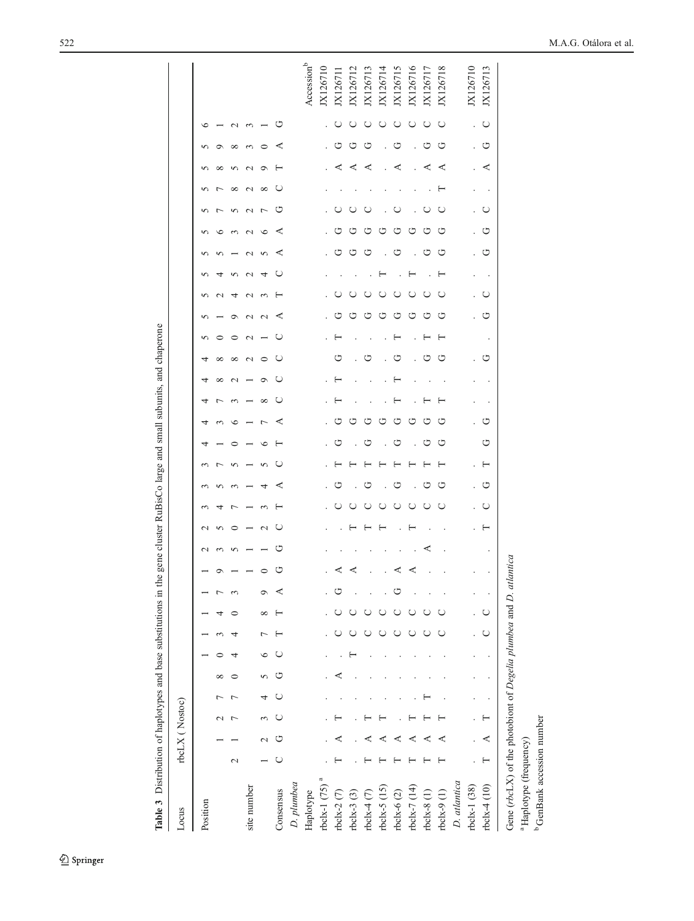<span id="page-5-0"></span>

| Table 3 Distribution of haplotypes and base substitutions in the                                                                            |                 |                 |                |   |              |   |          |   |   |         |           |   |   |   |   | gene cluster RuBisCo large and small subunits, and chaperone |              |         |              |         |                 |                      |         |                  |             |             |        |   |                      |                        |
|---------------------------------------------------------------------------------------------------------------------------------------------|-----------------|-----------------|----------------|---|--------------|---|----------|---|---|---------|-----------|---|---|---|---|--------------------------------------------------------------|--------------|---------|--------------|---------|-----------------|----------------------|---------|------------------|-------------|-------------|--------|---|----------------------|------------------------|
| Locus                                                                                                                                       |                 |                 | rbcLX (Nostoc) |   |              |   |          |   |   |         |           |   |   |   |   |                                                              |              |         |              |         |                 |                      |         |                  |             |             |        |   |                      |                        |
| Position                                                                                                                                    |                 |                 |                |   |              |   |          |   | c |         |           |   |   |   |   |                                                              |              | ∞       | $\infty$     | n<br>⊂  |                 | n<br>$\mathbf{\sim}$ |         | n                | n<br>t<br>७ |             | ∞      |   | ╰                    |                        |
|                                                                                                                                             | $\mathbf{\sim}$ |                 |                |   |              |   |          |   |   |         |           |   |   |   |   | ∽                                                            |              | $\sim$  | ${}^{\circ}$ | ⊂       |                 | 4                    |         | $\sim$           | n           | $_{\infty}$ |        | ∝ | $\sim$               |                        |
| site number                                                                                                                                 |                 |                 |                |   |              |   |          |   |   |         |           |   |   |   |   |                                                              |              |         | $\sim$       | $\sim$  | $\sim$          | $\sim$               | $\sim$  | $\sim$<br>$\sim$ | $\sim$      | $\sim$      | $\sim$ |   | $\epsilon$           |                        |
|                                                                                                                                             |                 | $\mathbf{\sim}$ |                |   | $\circ$<br>5 |   | $\infty$ | っ |   |         | C         |   |   | S | ∽ | г                                                            | ${}^{\circ}$ | $\circ$ | $\circ$      |         | $\mathbf{\sim}$ | $\mathfrak{c}$       | 4       | 5                | r<br>৩      | $\infty$    | o      | ⊂ |                      |                        |
| Consensus                                                                                                                                   | ◡               | ロ               | C              | ◡ | ◡<br>↺       |   |          |   | ↺ | ↺       | C         |   | ⋖ | O |   | ⋖                                                            | C            | ◡       | O            | U       | ⋖               | ۳                    | C       | ⋖                | ∪<br>⋖      | U           | ۳      | ⋖ | ↺                    |                        |
| D. plumbea                                                                                                                                  |                 |                 |                |   |              |   |          |   |   |         |           |   |   |   |   |                                                              |              |         |              |         |                 |                      |         |                  |             |             |        |   |                      |                        |
| Haplotype                                                                                                                                   |                 |                 |                |   |              |   |          |   |   |         |           |   |   |   |   |                                                              |              |         |              |         |                 |                      |         |                  |             |             |        |   |                      | Accession <sup>b</sup> |
| $\mathfrak{a}$<br>rbclx-1 (75)                                                                                                              |                 |                 |                |   |              |   |          |   |   |         |           |   |   |   |   |                                                              |              |         |              |         |                 |                      |         |                  |             |             |        |   |                      | JX126710               |
| $rbck-2(7)$                                                                                                                                 |                 |                 |                |   |              |   |          | ↺ |   |         |           |   |   |   | ↺ | ↺                                                            |              |         | ↺            | ۳       |                 |                      |         | ↺                |             |             |        |   | ◡                    | JX12671                |
| $rbclx-3$ (3)                                                                                                                               |                 |                 |                |   |              |   |          |   |   |         |           | ◡ |   |   |   | ↺                                                            |              |         |              |         | ↺               |                      |         | ↺                |             |             |        |   | ◡                    | JX126712               |
| $rbck-4$ (7)                                                                                                                                |                 |                 |                |   |              |   |          |   |   |         |           | O | ↺ |   | ↺ | ↺                                                            |              |         | ↺            |         | ↺               |                      |         | ∪                | ↺           |             |        |   | ◡                    | JX126713               |
| $rbclx-5$ $(15)$                                                                                                                            |                 |                 |                |   |              |   |          |   |   |         |           | O |   |   |   | ♡                                                            |              |         |              |         | ↺               |                      | h       |                  | ↺           |             |        |   | ◡                    | JX126714               |
| $rbck-6(2)$                                                                                                                                 |                 |                 |                |   |              |   |          | ↺ |   |         |           | ◡ | ♡ |   | ♡ | ♡                                                            | Þ            | Þ       | ↺            | ۲       | ↺               | O                    |         | ↺                | ◡<br>♡      |             | ⋖      | ♡ | ◡                    | JX126715               |
| $rbclx-7$ (14)                                                                                                                              |                 |                 |                |   |              |   |          |   | ⋖ |         |           | ◡ |   |   |   | ♡                                                            |              |         |              |         | ♡               |                      | ۲       |                  | ↺           |             |        |   | ◡                    | JX126716               |
| $rbclx-8(1)$                                                                                                                                |                 |                 |                |   |              |   |          |   |   | ⋖       |           | ◡ | ↺ |   | ↺ | ↺                                                            |              |         | ↺            | ۲       | ↺               |                      |         | ♡                | ↺           |             | ⋖      | ♡ | ◡                    | JX126717               |
| $rbck-9(1)$                                                                                                                                 |                 |                 |                |   |              |   |          |   |   |         |           | ◡ | ↺ |   | ↺ | ↺                                                            |              |         | ↺            | ⊢       | ↺               | ◡                    | ⊢       | ↺                | ◡<br>↺      | ۳           | ⋖      | ↺ | ◡                    | JX126718               |
| D. atlantica                                                                                                                                |                 |                 |                |   |              |   |          |   |   |         |           |   |   |   |   |                                                              |              |         |              |         |                 |                      |         |                  |             |             |        |   |                      |                        |
| $rbclx-1$ (38)                                                                                                                              |                 |                 |                |   |              |   |          |   |   |         | $\bullet$ |   |   |   |   |                                                              |              |         |              |         |                 |                      |         |                  |             |             |        |   | $\ddot{\phantom{0}}$ | JX126710               |
| $\text{rbck}4(10)$                                                                                                                          | Н               | ⋖               | ⊢              |   |              | O | Õ        |   |   | $\cdot$ | ⊢         | ◡ | ゥ | ⊢ | ゥ | ゥ                                                            |              | $\cdot$ | ゥ            | $\cdot$ | ゥ               | ◡                    | $\cdot$ | ゥ                | ◡<br>ゥ      | $\cdot$     | ⋖      | ت | $\cup$               | JX126713               |
| Gene (rbcLX) of the photobiont of Degelia plumbea and D. atlantica<br><sup>b</sup> GenBank accession number<br>$^{a}$ Haplotype (frequency) |                 |                 |                |   |              |   |          |   |   |         |           |   |   |   |   |                                                              |              |         |              |         |                 |                      |         |                  |             |             |        |   |                      |                        |

 $\underline{\textcircled{\tiny 2}}$  Springer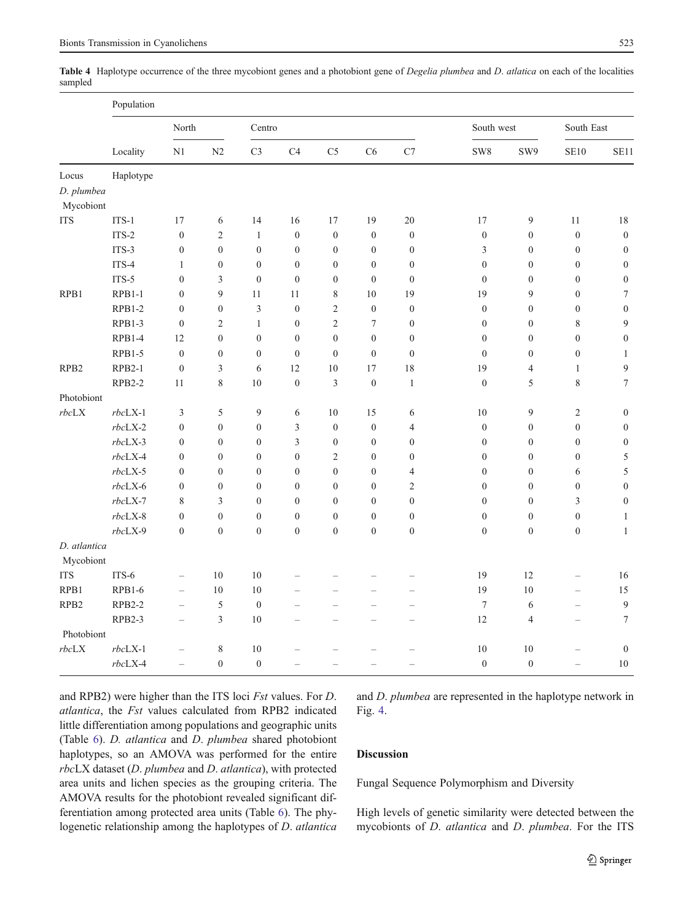<span id="page-6-0"></span>Table 4 Haplotype occurrence of the three mycobiont genes and a photobiont gene of *Degelia plumbea* and *D. atlatica* on each of the localities sampled

|                                  | Population |                          |                  |                  |                  |                  |                  |                  |                  |                  |                          |                  |
|----------------------------------|------------|--------------------------|------------------|------------------|------------------|------------------|------------------|------------------|------------------|------------------|--------------------------|------------------|
|                                  |            | North                    |                  | Centro           |                  |                  |                  |                  | South west       |                  | South East               |                  |
|                                  | Locality   | N1                       | N2               | C <sub>3</sub>   | C4               | C <sub>5</sub>   | C6               | C7               | SW <sub>8</sub>  | SW9              | <b>SE10</b>              | <b>SE11</b>      |
| Locus<br>D. plumbea<br>Mycobiont | Haplotype  |                          |                  |                  |                  |                  |                  |                  |                  |                  |                          |                  |
| <b>ITS</b>                       | $ITS-1$    | 17                       | 6                | 14               | 16               | 17               | 19               | 20               | 17               | 9                | 11                       | 18               |
|                                  | $ITS-2$    | $\boldsymbol{0}$         | $\overline{2}$   | $\mathbf{1}$     | $\boldsymbol{0}$ | $\boldsymbol{0}$ | $\boldsymbol{0}$ | $\boldsymbol{0}$ | $\boldsymbol{0}$ | $\boldsymbol{0}$ | $\boldsymbol{0}$         | $\boldsymbol{0}$ |
|                                  | ITS-3      | $\boldsymbol{0}$         | $\mathbf{0}$     | $\boldsymbol{0}$ | $\boldsymbol{0}$ | $\boldsymbol{0}$ | $\boldsymbol{0}$ | $\boldsymbol{0}$ | 3                | $\boldsymbol{0}$ | $\boldsymbol{0}$         | $\boldsymbol{0}$ |
|                                  | ITS-4      | $\mathbf{1}$             | $\boldsymbol{0}$ | $\boldsymbol{0}$ | $\boldsymbol{0}$ | $\boldsymbol{0}$ | $\boldsymbol{0}$ | $\boldsymbol{0}$ | $\boldsymbol{0}$ | $\boldsymbol{0}$ | $\boldsymbol{0}$         | $\boldsymbol{0}$ |
|                                  | $ITS-5$    | $\boldsymbol{0}$         | 3                | $\boldsymbol{0}$ | $\boldsymbol{0}$ | $\boldsymbol{0}$ | $\boldsymbol{0}$ | $\boldsymbol{0}$ | $\boldsymbol{0}$ | $\boldsymbol{0}$ | $\boldsymbol{0}$         | $\boldsymbol{0}$ |
| RPB1                             | $RPB1-1$   | $\boldsymbol{0}$         | $\mathbf{9}$     | 11               | 11               | $\,$ 8 $\,$      | 10               | 19               | 19               | 9                | $\boldsymbol{0}$         | $\tau$           |
|                                  | $RPB1-2$   | $\boldsymbol{0}$         | $\boldsymbol{0}$ | 3                | $\mathbf{0}$     | $\overline{2}$   | $\mathbf{0}$     | $\boldsymbol{0}$ | $\mathbf{0}$     | $\boldsymbol{0}$ | $\boldsymbol{0}$         | $\boldsymbol{0}$ |
|                                  | RPB1-3     | $\boldsymbol{0}$         | $\overline{2}$   | $\mathbf{1}$     | $\boldsymbol{0}$ | $\overline{2}$   | $\tau$           | $\boldsymbol{0}$ | $\boldsymbol{0}$ | $\boldsymbol{0}$ | $\,$ $\,$                | 9                |
|                                  | RPB1-4     | 12                       | $\mathbf{0}$     | $\boldsymbol{0}$ | $\mathbf{0}$     | $\boldsymbol{0}$ | $\boldsymbol{0}$ | $\boldsymbol{0}$ | $\boldsymbol{0}$ | $\boldsymbol{0}$ | $\boldsymbol{0}$         | $\boldsymbol{0}$ |
|                                  | $RPB1-5$   | $\boldsymbol{0}$         | $\mathbf{0}$     | $\mathbf{0}$     | $\mathbf{0}$     | $\mathbf{0}$     | $\mathbf{0}$     | $\boldsymbol{0}$ | $\mathbf{0}$     | $\boldsymbol{0}$ | $\boldsymbol{0}$         | $\mathbf{1}$     |
| RPB <sub>2</sub>                 | RPB2-1     | $\boldsymbol{0}$         | 3                | 6                | 12               | 10               | 17               | 18               | 19               | $\overline{4}$   | $\mathbf{1}$             | 9                |
|                                  | RPB2-2     | $11\,$                   | 8                | 10               | $\boldsymbol{0}$ | 3                | $\boldsymbol{0}$ | $\mathbf{1}$     | $\boldsymbol{0}$ | 5                | $\,$ $\,$                | $\tau$           |
| Photobiont                       |            |                          |                  |                  |                  |                  |                  |                  |                  |                  |                          |                  |
| $rbc$ LX                         | $rbc$ LX-1 | 3                        | $\sqrt{5}$       | 9                | 6                | $10\,$           | 15               | 6                | $10\,$           | 9                | $\sqrt{2}$               | $\boldsymbol{0}$ |
|                                  | $rbc$ LX-2 | $\boldsymbol{0}$         | $\boldsymbol{0}$ | $\boldsymbol{0}$ | 3                | $\boldsymbol{0}$ | $\boldsymbol{0}$ | $\overline{4}$   | $\boldsymbol{0}$ | $\boldsymbol{0}$ | $\boldsymbol{0}$         | $\boldsymbol{0}$ |
|                                  | $rbc$ LX-3 | $\boldsymbol{0}$         | $\boldsymbol{0}$ | $\boldsymbol{0}$ | 3                | $\boldsymbol{0}$ | $\boldsymbol{0}$ | $\boldsymbol{0}$ | $\boldsymbol{0}$ | $\boldsymbol{0}$ | $\boldsymbol{0}$         | $\boldsymbol{0}$ |
|                                  | $rbc$ LX-4 | $\boldsymbol{0}$         | $\boldsymbol{0}$ | $\boldsymbol{0}$ | $\boldsymbol{0}$ | $\overline{c}$   | $\boldsymbol{0}$ | $\boldsymbol{0}$ | $\boldsymbol{0}$ | $\boldsymbol{0}$ | $\boldsymbol{0}$         | $\sqrt{5}$       |
|                                  | $rbc$ LX-5 | $\boldsymbol{0}$         | $\boldsymbol{0}$ | $\boldsymbol{0}$ | $\boldsymbol{0}$ | $\boldsymbol{0}$ | $\boldsymbol{0}$ | $\overline{4}$   | $\boldsymbol{0}$ | $\boldsymbol{0}$ | 6                        | $\mathfrak s$    |
|                                  | $rbc$ LX-6 | $\boldsymbol{0}$         | $\boldsymbol{0}$ | $\boldsymbol{0}$ | $\boldsymbol{0}$ | $\boldsymbol{0}$ | $\boldsymbol{0}$ | $\overline{2}$   | $\boldsymbol{0}$ | $\boldsymbol{0}$ | $\boldsymbol{0}$         | $\boldsymbol{0}$ |
|                                  | $rbc$ LX-7 | $\,$ 8 $\,$              | $\mathfrak{Z}$   | $\boldsymbol{0}$ | $\boldsymbol{0}$ | $\boldsymbol{0}$ | $\boldsymbol{0}$ | $\boldsymbol{0}$ | $\boldsymbol{0}$ | $\boldsymbol{0}$ | $\mathfrak{Z}$           | $\boldsymbol{0}$ |
|                                  | $rbc$ LX-8 | $\boldsymbol{0}$         | $\boldsymbol{0}$ | $\boldsymbol{0}$ | $\boldsymbol{0}$ | $\boldsymbol{0}$ | $\boldsymbol{0}$ | $\boldsymbol{0}$ | $\boldsymbol{0}$ | $\boldsymbol{0}$ | $\boldsymbol{0}$         | $\mathbf{1}$     |
|                                  | $rbc$ LX-9 | $\boldsymbol{0}$         | $\boldsymbol{0}$ | $\boldsymbol{0}$ | $\boldsymbol{0}$ | $\boldsymbol{0}$ | $\boldsymbol{0}$ | $\boldsymbol{0}$ | $\boldsymbol{0}$ | $\boldsymbol{0}$ | $\boldsymbol{0}$         | $\mathbf{1}$     |
| D. atlantica<br>Mycobiont        |            |                          |                  |                  |                  |                  |                  |                  |                  |                  |                          |                  |
| <b>ITS</b>                       | ITS-6      |                          | 10               | 10               |                  |                  |                  |                  | 19               | 12               | $\overline{\phantom{0}}$ | 16               |
| RPB1                             | RPB1-6     | $\overline{\phantom{0}}$ | 10               | 10               |                  |                  |                  |                  | 19               | 10               | $\overline{\phantom{0}}$ | 15               |
| RPB <sub>2</sub>                 | RPB2-2     | $\overline{\phantom{0}}$ | 5                | $\boldsymbol{0}$ |                  |                  |                  |                  | $\tau$           | 6                | $\overline{\phantom{0}}$ | 9                |
|                                  | RPB2-3     |                          | 3                | 10               |                  |                  |                  |                  | 12               | $\overline{4}$   | ÷                        | $\tau$           |
| Photobiont                       |            |                          |                  |                  |                  |                  |                  |                  |                  |                  |                          |                  |
| $rbc$ LX                         | $rbc$ LX-1 |                          | 8                | 10               |                  |                  |                  |                  | 10               | 10               | $\overline{\phantom{a}}$ | $\boldsymbol{0}$ |
|                                  | $rbc$ LX-4 |                          | $\mathbf{0}$     | $\boldsymbol{0}$ |                  |                  |                  |                  | $\boldsymbol{0}$ | $\boldsymbol{0}$ | $\qquad \qquad -$        | 10               |

and RPB2) were higher than the ITS loci Fst values. For D. atlantica, the Fst values calculated from RPB2 indicated little differentiation among populations and geographic units (Table [6\)](#page-9-0). D. atlantica and D. plumbea shared photobiont haplotypes, so an AMOVA was performed for the entire rbcLX dataset (D. plumbea and D. atlantica), with protected area units and lichen species as the grouping criteria. The AMOVA results for the photobiont revealed significant differentiation among protected area units (Table [6\)](#page-9-0). The phylogenetic relationship among the haplotypes of D. atlantica and D. plumbea are represented in the haplotype network in Fig. [4.](#page-9-0)

# Discussion

Fungal Sequence Polymorphism and Diversity

High levels of genetic similarity were detected between the mycobionts of D. atlantica and D. plumbea. For the ITS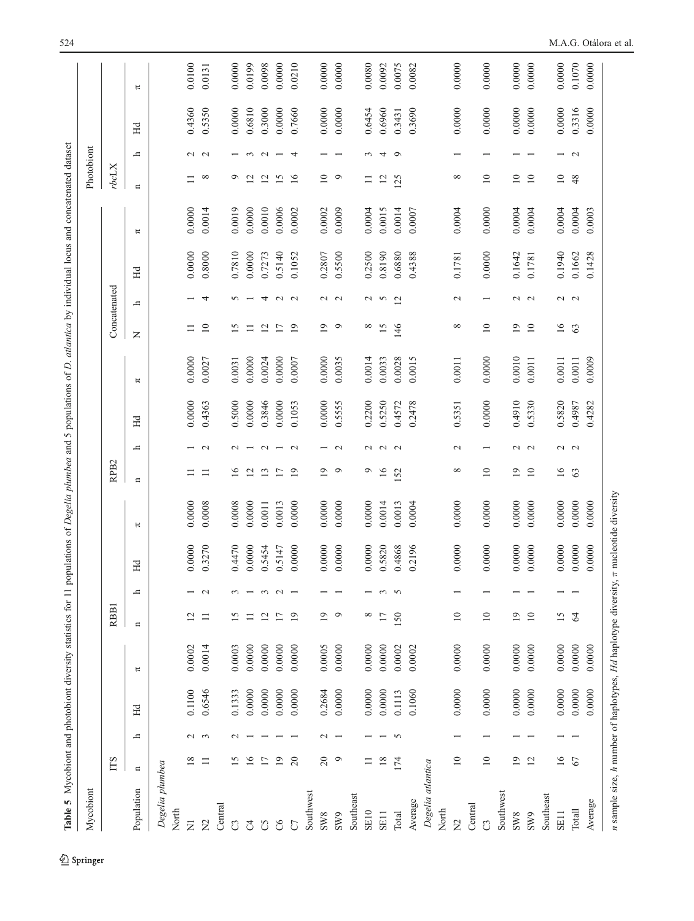<span id="page-7-0"></span>

| h<br>$\circ$<br>$\sim$<br>$\mathbf{\sim}$<br>$\overline{4}$<br>3<br>$\overline{\phantom{0}}$<br>$\sim$<br>$\sim$<br>4<br>$rbc\mathcal{L}X$<br>$\overline{10}$<br>$\circ$<br>${}^{\circ}$<br>$\overline{10}$<br>$\overline{10}$<br>$\overline{10}$<br>$\overline{10}$<br>$\infty$<br>Q<br>$\overline{c}$<br>$\overline{c}$<br>15<br>16<br>12<br>125<br>$\equiv$<br>$\equiv$<br>n<br>0.0000<br>0.0019<br>0.0000<br>0.0010<br>0.0006<br>0.0014<br>0.0000<br>0.0014<br>0.0002<br>0.0002<br>0.0009<br>0.0004<br>0.0015<br>0.0007<br>0.0004<br>0.0004<br>0.0004<br>0.0004<br>$\mu$<br>0.0000<br>0.7810<br>0.2500<br>0.8000<br>0.0000<br>0.5140<br>0.1052<br>0.2807<br>0.5500<br>0.8190<br>0.6880<br>0.0000<br>0.1642<br>0.1940<br>0.7273<br>0.4388<br>0.1781<br>0.1781<br>Hd<br>Concatenated<br>52<br>$\sim$ $\sim$<br>4<br>5<br>$\overline{4}$<br>$\sim$ $\sim$<br>$\sim$ $\sim$<br>$\sim$<br>$\mathcal{L}$<br>$\sim$<br>$\sim$<br>$\overline{\phantom{0}}$<br>$\overline{\phantom{0}}$<br>h<br>$\supseteq$<br>$\overline{10}$<br>15<br>$\overline{2}$<br>$\overline{19}$<br>$\circ$<br>∞<br>15<br>146<br>${}^{\circ}$<br>$\overline{19}$<br>$\overline{10}$<br>$\overline{16}$<br>$\Box$<br>$\Box$<br>$\overline{17}$<br>$\overline{19}$<br>$\simeq$<br>0.0000<br>0.0000<br>0.0024<br>0.0000<br>0.0000<br>0.0014<br>0.0028<br>0.0010<br>0.0035<br>0.0015<br>0.0000<br>0.0027<br>0.0007<br>0.0033<br>0.0031<br>0.0011<br>0.0011<br>0.0011<br>$\mu$<br>0.4910<br>0.0000<br>0.4363<br>0.0000<br>0.3846<br>0.0000<br>0.1053<br>0.0000<br>0.5555<br>0.2200<br>0.5250<br>0.0000<br>0.5330<br>0.5820<br>0.5000<br>0.4572<br>0.2478<br>0.5351<br>Hd<br>h<br>$\sim$ $\sim$<br>$\sim$<br>$\mathbf{\Omega}$<br>$\mathbf{\Omega}$<br>$\sim$<br>$\sim$ $\sim$<br>$\mathcal{L}$<br>$\sim$<br>$\sim$<br>$\sim$<br>$\overline{\phantom{0}}$<br>$\sim$<br>$\overline{\phantom{0}}$<br>$\overline{\phantom{0}}$<br>RPB <sub>2</sub><br>$\overline{16}$<br>$\overline{2}$<br>$\overline{13}$<br>$\overline{19}$<br>Ó<br>16<br>$\infty$<br>$\overline{10}$<br>$\overline{1}$<br>$\overline{10}$<br>16<br>$\overline{17}$<br>19<br>$\circ$<br>152<br>$\Box$<br>$\Box$<br>n<br>0.0000<br>0.0000<br>0.0000<br>0.0000<br>0.0000<br>0.0000<br>0.0008<br>0.0008<br>0.0000<br>0.0013<br>0.0000<br>0.0000<br>0.0014<br>0.0013<br>0.0000<br>0.0000<br>0.0004<br>0.0011<br>$\mu$<br>0.0000<br>0.4470<br>0.0000<br>0.0000<br>0.5820<br>0.0000<br>0.0000<br>0.0000<br>0.3270<br>0.0000<br>0.5454<br>0.0000<br>0.0000<br>0.4868<br>196<br>0.0000<br>0.0000<br>0.5147<br>0.2<br>Hd<br>h<br>$\sim$<br>$\sim$<br>$\epsilon$<br>$\epsilon$<br>$\sim$<br>$\mathfrak{c}$<br>$\overline{\phantom{0}}$<br>$\overline{\phantom{0}}$<br>$\overline{ }$<br>$\overline{\phantom{0}}$<br>$\overline{\phantom{0}}$<br>$\overline{\phantom{0}}$<br>RBB1<br>$\overline{10}$<br>$10$<br>${}^{\circ}$<br>150<br>12<br>15<br>12<br>19<br>$\overline{19}$<br>$\circ$<br>17<br>$\overline{19}$<br>$\overline{10}$<br>15<br>64<br>$\Box$<br>17<br>$\Box$<br>$\mathbf{u}$<br>0.0000<br>0.0000<br>0.0002<br>0.0014<br>0.0000<br>0.0005<br>0.0000<br>0.0000<br>0.0000<br>0.0000<br>0.0000<br>0.0000<br>0.0000<br>0.0000<br>0.0000<br>0.0000<br>0.0003<br>0.0002<br>0.0002<br>$\mu$<br>0.0000<br>0.0000<br>0.0000<br>0.1100<br>0.6546<br>0.0000<br>0.0000<br>0.0000<br>0.0000<br>0.2684<br>0.0000<br>0.0000<br>0.1060<br>0.0000<br>0.0000<br>0.0000<br>0.1333<br>0.1113<br>Hd<br>h<br>$\overline{\mathcal{L}}$<br>$\mathfrak{g}$<br>$\mathcal{L}$<br>$\sigma$<br>$\mathcal{L}$<br>$\overline{c}$<br>$\overline{10}$<br>$10$<br>$\overline{16}$<br>$\overline{19}$<br>$\overline{c}$<br>$\overline{19}$<br>$\overline{16}$<br>ГTS<br>18<br>15<br>17<br>$\circ$<br>$\overline{c}$<br>$\Box$<br>18<br>174<br>$\Box$<br>Degelia atlantica<br>Degelia plumbea<br>$\mathbf{u}$<br>Population<br>Southwest<br>Southwest<br>Southeast<br>Southeast<br>Average<br>Central<br>Central<br>North<br>North<br><b>SE10</b><br>Total<br>SE11<br>SW9<br>SE11<br><b>SW9</b><br><b>SW8</b><br>SW <sub>8</sub><br>$\tilde{z}$<br>$\Sigma$<br>$\mathbb{C}^3$<br>$\overline{z}$<br>$\mathbb{C}$<br>J4<br>$\infty$<br>C5<br>C <sub>7</sub> |                        |  |  |        |        |    |        |        |    |        |        |    |                   |        |        |
|-------------------------------------------------------------------------------------------------------------------------------------------------------------------------------------------------------------------------------------------------------------------------------------------------------------------------------------------------------------------------------------------------------------------------------------------------------------------------------------------------------------------------------------------------------------------------------------------------------------------------------------------------------------------------------------------------------------------------------------------------------------------------------------------------------------------------------------------------------------------------------------------------------------------------------------------------------------------------------------------------------------------------------------------------------------------------------------------------------------------------------------------------------------------------------------------------------------------------------------------------------------------------------------------------------------------------------------------------------------------------------------------------------------------------------------------------------------------------------------------------------------------------------------------------------------------------------------------------------------------------------------------------------------------------------------------------------------------------------------------------------------------------------------------------------------------------------------------------------------------------------------------------------------------------------------------------------------------------------------------------------------------------------------------------------------------------------------------------------------------------------------------------------------------------------------------------------------------------------------------------------------------------------------------------------------------------------------------------------------------------------------------------------------------------------------------------------------------------------------------------------------------------------------------------------------------------------------------------------------------------------------------------------------------------------------------------------------------------------------------------------------------------------------------------------------------------------------------------------------------------------------------------------------------------------------------------------------------------------------------------------------------------------------------------------------------------------------------------------------------------------------------------------------------------------------------------------------------------------------------------------------------------------------------------------------------------------------------------------------------------------------------------------------------------------------------------------------------------------------------------------------------------------------------------------------------------------------------------------------------------------------------------------------------------------------------------------------------------------------------------------------------------------------------------------------------------------------------------------------------------------------------------------------------------------------------------------------------------------------------------------------------------------------------------------------------------------------------------------------------------------------------------------|------------------------|--|--|--------|--------|----|--------|--------|----|--------|--------|----|-------------------|--------|--------|
|                                                                                                                                                                                                                                                                                                                                                                                                                                                                                                                                                                                                                                                                                                                                                                                                                                                                                                                                                                                                                                                                                                                                                                                                                                                                                                                                                                                                                                                                                                                                                                                                                                                                                                                                                                                                                                                                                                                                                                                                                                                                                                                                                                                                                                                                                                                                                                                                                                                                                                                                                                                                                                                                                                                                                                                                                                                                                                                                                                                                                                                                                                                                                                                                                                                                                                                                                                                                                                                                                                                                                                                                                                                                                                                                                                                                                                                                                                                                                                                                                                                                                                                                                       |                        |  |  |        |        |    |        |        |    |        |        |    |                   |        |        |
|                                                                                                                                                                                                                                                                                                                                                                                                                                                                                                                                                                                                                                                                                                                                                                                                                                                                                                                                                                                                                                                                                                                                                                                                                                                                                                                                                                                                                                                                                                                                                                                                                                                                                                                                                                                                                                                                                                                                                                                                                                                                                                                                                                                                                                                                                                                                                                                                                                                                                                                                                                                                                                                                                                                                                                                                                                                                                                                                                                                                                                                                                                                                                                                                                                                                                                                                                                                                                                                                                                                                                                                                                                                                                                                                                                                                                                                                                                                                                                                                                                                                                                                                                       |                        |  |  |        |        |    |        |        |    |        |        |    |                   | Hd     | $\mu$  |
|                                                                                                                                                                                                                                                                                                                                                                                                                                                                                                                                                                                                                                                                                                                                                                                                                                                                                                                                                                                                                                                                                                                                                                                                                                                                                                                                                                                                                                                                                                                                                                                                                                                                                                                                                                                                                                                                                                                                                                                                                                                                                                                                                                                                                                                                                                                                                                                                                                                                                                                                                                                                                                                                                                                                                                                                                                                                                                                                                                                                                                                                                                                                                                                                                                                                                                                                                                                                                                                                                                                                                                                                                                                                                                                                                                                                                                                                                                                                                                                                                                                                                                                                                       |                        |  |  |        |        |    |        |        |    |        |        |    |                   |        |        |
|                                                                                                                                                                                                                                                                                                                                                                                                                                                                                                                                                                                                                                                                                                                                                                                                                                                                                                                                                                                                                                                                                                                                                                                                                                                                                                                                                                                                                                                                                                                                                                                                                                                                                                                                                                                                                                                                                                                                                                                                                                                                                                                                                                                                                                                                                                                                                                                                                                                                                                                                                                                                                                                                                                                                                                                                                                                                                                                                                                                                                                                                                                                                                                                                                                                                                                                                                                                                                                                                                                                                                                                                                                                                                                                                                                                                                                                                                                                                                                                                                                                                                                                                                       |                        |  |  |        |        |    |        |        |    |        |        |    |                   |        |        |
|                                                                                                                                                                                                                                                                                                                                                                                                                                                                                                                                                                                                                                                                                                                                                                                                                                                                                                                                                                                                                                                                                                                                                                                                                                                                                                                                                                                                                                                                                                                                                                                                                                                                                                                                                                                                                                                                                                                                                                                                                                                                                                                                                                                                                                                                                                                                                                                                                                                                                                                                                                                                                                                                                                                                                                                                                                                                                                                                                                                                                                                                                                                                                                                                                                                                                                                                                                                                                                                                                                                                                                                                                                                                                                                                                                                                                                                                                                                                                                                                                                                                                                                                                       |                        |  |  |        |        |    |        |        |    |        |        |    |                   | 0.4360 | 0.0100 |
|                                                                                                                                                                                                                                                                                                                                                                                                                                                                                                                                                                                                                                                                                                                                                                                                                                                                                                                                                                                                                                                                                                                                                                                                                                                                                                                                                                                                                                                                                                                                                                                                                                                                                                                                                                                                                                                                                                                                                                                                                                                                                                                                                                                                                                                                                                                                                                                                                                                                                                                                                                                                                                                                                                                                                                                                                                                                                                                                                                                                                                                                                                                                                                                                                                                                                                                                                                                                                                                                                                                                                                                                                                                                                                                                                                                                                                                                                                                                                                                                                                                                                                                                                       |                        |  |  |        |        |    |        |        |    |        |        |    |                   | 0.5350 | 0.0131 |
|                                                                                                                                                                                                                                                                                                                                                                                                                                                                                                                                                                                                                                                                                                                                                                                                                                                                                                                                                                                                                                                                                                                                                                                                                                                                                                                                                                                                                                                                                                                                                                                                                                                                                                                                                                                                                                                                                                                                                                                                                                                                                                                                                                                                                                                                                                                                                                                                                                                                                                                                                                                                                                                                                                                                                                                                                                                                                                                                                                                                                                                                                                                                                                                                                                                                                                                                                                                                                                                                                                                                                                                                                                                                                                                                                                                                                                                                                                                                                                                                                                                                                                                                                       |                        |  |  |        |        |    |        |        |    |        |        |    |                   |        |        |
|                                                                                                                                                                                                                                                                                                                                                                                                                                                                                                                                                                                                                                                                                                                                                                                                                                                                                                                                                                                                                                                                                                                                                                                                                                                                                                                                                                                                                                                                                                                                                                                                                                                                                                                                                                                                                                                                                                                                                                                                                                                                                                                                                                                                                                                                                                                                                                                                                                                                                                                                                                                                                                                                                                                                                                                                                                                                                                                                                                                                                                                                                                                                                                                                                                                                                                                                                                                                                                                                                                                                                                                                                                                                                                                                                                                                                                                                                                                                                                                                                                                                                                                                                       |                        |  |  |        |        |    |        |        |    |        |        |    |                   | 0.0000 | 0.0000 |
|                                                                                                                                                                                                                                                                                                                                                                                                                                                                                                                                                                                                                                                                                                                                                                                                                                                                                                                                                                                                                                                                                                                                                                                                                                                                                                                                                                                                                                                                                                                                                                                                                                                                                                                                                                                                                                                                                                                                                                                                                                                                                                                                                                                                                                                                                                                                                                                                                                                                                                                                                                                                                                                                                                                                                                                                                                                                                                                                                                                                                                                                                                                                                                                                                                                                                                                                                                                                                                                                                                                                                                                                                                                                                                                                                                                                                                                                                                                                                                                                                                                                                                                                                       |                        |  |  |        |        |    |        |        |    |        |        |    |                   | 0.6810 | 0.0199 |
|                                                                                                                                                                                                                                                                                                                                                                                                                                                                                                                                                                                                                                                                                                                                                                                                                                                                                                                                                                                                                                                                                                                                                                                                                                                                                                                                                                                                                                                                                                                                                                                                                                                                                                                                                                                                                                                                                                                                                                                                                                                                                                                                                                                                                                                                                                                                                                                                                                                                                                                                                                                                                                                                                                                                                                                                                                                                                                                                                                                                                                                                                                                                                                                                                                                                                                                                                                                                                                                                                                                                                                                                                                                                                                                                                                                                                                                                                                                                                                                                                                                                                                                                                       |                        |  |  |        |        |    |        |        |    |        |        |    |                   | 0.3000 | 0.0098 |
|                                                                                                                                                                                                                                                                                                                                                                                                                                                                                                                                                                                                                                                                                                                                                                                                                                                                                                                                                                                                                                                                                                                                                                                                                                                                                                                                                                                                                                                                                                                                                                                                                                                                                                                                                                                                                                                                                                                                                                                                                                                                                                                                                                                                                                                                                                                                                                                                                                                                                                                                                                                                                                                                                                                                                                                                                                                                                                                                                                                                                                                                                                                                                                                                                                                                                                                                                                                                                                                                                                                                                                                                                                                                                                                                                                                                                                                                                                                                                                                                                                                                                                                                                       |                        |  |  |        |        |    |        |        |    |        |        |    |                   | 0.0000 | 0.0000 |
|                                                                                                                                                                                                                                                                                                                                                                                                                                                                                                                                                                                                                                                                                                                                                                                                                                                                                                                                                                                                                                                                                                                                                                                                                                                                                                                                                                                                                                                                                                                                                                                                                                                                                                                                                                                                                                                                                                                                                                                                                                                                                                                                                                                                                                                                                                                                                                                                                                                                                                                                                                                                                                                                                                                                                                                                                                                                                                                                                                                                                                                                                                                                                                                                                                                                                                                                                                                                                                                                                                                                                                                                                                                                                                                                                                                                                                                                                                                                                                                                                                                                                                                                                       |                        |  |  |        |        |    |        |        |    |        |        |    |                   | 0.7660 | 0.0210 |
|                                                                                                                                                                                                                                                                                                                                                                                                                                                                                                                                                                                                                                                                                                                                                                                                                                                                                                                                                                                                                                                                                                                                                                                                                                                                                                                                                                                                                                                                                                                                                                                                                                                                                                                                                                                                                                                                                                                                                                                                                                                                                                                                                                                                                                                                                                                                                                                                                                                                                                                                                                                                                                                                                                                                                                                                                                                                                                                                                                                                                                                                                                                                                                                                                                                                                                                                                                                                                                                                                                                                                                                                                                                                                                                                                                                                                                                                                                                                                                                                                                                                                                                                                       |                        |  |  |        |        |    |        |        |    |        |        |    |                   |        |        |
|                                                                                                                                                                                                                                                                                                                                                                                                                                                                                                                                                                                                                                                                                                                                                                                                                                                                                                                                                                                                                                                                                                                                                                                                                                                                                                                                                                                                                                                                                                                                                                                                                                                                                                                                                                                                                                                                                                                                                                                                                                                                                                                                                                                                                                                                                                                                                                                                                                                                                                                                                                                                                                                                                                                                                                                                                                                                                                                                                                                                                                                                                                                                                                                                                                                                                                                                                                                                                                                                                                                                                                                                                                                                                                                                                                                                                                                                                                                                                                                                                                                                                                                                                       |                        |  |  |        |        |    |        |        |    |        |        |    |                   | 0.0000 | 0.0000 |
|                                                                                                                                                                                                                                                                                                                                                                                                                                                                                                                                                                                                                                                                                                                                                                                                                                                                                                                                                                                                                                                                                                                                                                                                                                                                                                                                                                                                                                                                                                                                                                                                                                                                                                                                                                                                                                                                                                                                                                                                                                                                                                                                                                                                                                                                                                                                                                                                                                                                                                                                                                                                                                                                                                                                                                                                                                                                                                                                                                                                                                                                                                                                                                                                                                                                                                                                                                                                                                                                                                                                                                                                                                                                                                                                                                                                                                                                                                                                                                                                                                                                                                                                                       |                        |  |  |        |        |    |        |        |    |        |        |    |                   | 0.0000 | 0.0000 |
|                                                                                                                                                                                                                                                                                                                                                                                                                                                                                                                                                                                                                                                                                                                                                                                                                                                                                                                                                                                                                                                                                                                                                                                                                                                                                                                                                                                                                                                                                                                                                                                                                                                                                                                                                                                                                                                                                                                                                                                                                                                                                                                                                                                                                                                                                                                                                                                                                                                                                                                                                                                                                                                                                                                                                                                                                                                                                                                                                                                                                                                                                                                                                                                                                                                                                                                                                                                                                                                                                                                                                                                                                                                                                                                                                                                                                                                                                                                                                                                                                                                                                                                                                       |                        |  |  |        |        |    |        |        |    |        |        |    |                   |        |        |
|                                                                                                                                                                                                                                                                                                                                                                                                                                                                                                                                                                                                                                                                                                                                                                                                                                                                                                                                                                                                                                                                                                                                                                                                                                                                                                                                                                                                                                                                                                                                                                                                                                                                                                                                                                                                                                                                                                                                                                                                                                                                                                                                                                                                                                                                                                                                                                                                                                                                                                                                                                                                                                                                                                                                                                                                                                                                                                                                                                                                                                                                                                                                                                                                                                                                                                                                                                                                                                                                                                                                                                                                                                                                                                                                                                                                                                                                                                                                                                                                                                                                                                                                                       |                        |  |  |        |        |    |        |        |    |        |        |    |                   | 0.6454 | 0.0080 |
|                                                                                                                                                                                                                                                                                                                                                                                                                                                                                                                                                                                                                                                                                                                                                                                                                                                                                                                                                                                                                                                                                                                                                                                                                                                                                                                                                                                                                                                                                                                                                                                                                                                                                                                                                                                                                                                                                                                                                                                                                                                                                                                                                                                                                                                                                                                                                                                                                                                                                                                                                                                                                                                                                                                                                                                                                                                                                                                                                                                                                                                                                                                                                                                                                                                                                                                                                                                                                                                                                                                                                                                                                                                                                                                                                                                                                                                                                                                                                                                                                                                                                                                                                       |                        |  |  |        |        |    |        |        |    |        |        |    |                   | 0.6960 | 0.0092 |
|                                                                                                                                                                                                                                                                                                                                                                                                                                                                                                                                                                                                                                                                                                                                                                                                                                                                                                                                                                                                                                                                                                                                                                                                                                                                                                                                                                                                                                                                                                                                                                                                                                                                                                                                                                                                                                                                                                                                                                                                                                                                                                                                                                                                                                                                                                                                                                                                                                                                                                                                                                                                                                                                                                                                                                                                                                                                                                                                                                                                                                                                                                                                                                                                                                                                                                                                                                                                                                                                                                                                                                                                                                                                                                                                                                                                                                                                                                                                                                                                                                                                                                                                                       |                        |  |  |        |        |    |        |        |    |        |        |    |                   | 0.3431 | 0.0075 |
|                                                                                                                                                                                                                                                                                                                                                                                                                                                                                                                                                                                                                                                                                                                                                                                                                                                                                                                                                                                                                                                                                                                                                                                                                                                                                                                                                                                                                                                                                                                                                                                                                                                                                                                                                                                                                                                                                                                                                                                                                                                                                                                                                                                                                                                                                                                                                                                                                                                                                                                                                                                                                                                                                                                                                                                                                                                                                                                                                                                                                                                                                                                                                                                                                                                                                                                                                                                                                                                                                                                                                                                                                                                                                                                                                                                                                                                                                                                                                                                                                                                                                                                                                       |                        |  |  |        |        |    |        |        |    |        |        |    |                   | 0.3690 | 0.0082 |
|                                                                                                                                                                                                                                                                                                                                                                                                                                                                                                                                                                                                                                                                                                                                                                                                                                                                                                                                                                                                                                                                                                                                                                                                                                                                                                                                                                                                                                                                                                                                                                                                                                                                                                                                                                                                                                                                                                                                                                                                                                                                                                                                                                                                                                                                                                                                                                                                                                                                                                                                                                                                                                                                                                                                                                                                                                                                                                                                                                                                                                                                                                                                                                                                                                                                                                                                                                                                                                                                                                                                                                                                                                                                                                                                                                                                                                                                                                                                                                                                                                                                                                                                                       |                        |  |  |        |        |    |        |        |    |        |        |    |                   |        |        |
|                                                                                                                                                                                                                                                                                                                                                                                                                                                                                                                                                                                                                                                                                                                                                                                                                                                                                                                                                                                                                                                                                                                                                                                                                                                                                                                                                                                                                                                                                                                                                                                                                                                                                                                                                                                                                                                                                                                                                                                                                                                                                                                                                                                                                                                                                                                                                                                                                                                                                                                                                                                                                                                                                                                                                                                                                                                                                                                                                                                                                                                                                                                                                                                                                                                                                                                                                                                                                                                                                                                                                                                                                                                                                                                                                                                                                                                                                                                                                                                                                                                                                                                                                       |                        |  |  |        |        |    |        |        |    |        |        |    |                   |        |        |
|                                                                                                                                                                                                                                                                                                                                                                                                                                                                                                                                                                                                                                                                                                                                                                                                                                                                                                                                                                                                                                                                                                                                                                                                                                                                                                                                                                                                                                                                                                                                                                                                                                                                                                                                                                                                                                                                                                                                                                                                                                                                                                                                                                                                                                                                                                                                                                                                                                                                                                                                                                                                                                                                                                                                                                                                                                                                                                                                                                                                                                                                                                                                                                                                                                                                                                                                                                                                                                                                                                                                                                                                                                                                                                                                                                                                                                                                                                                                                                                                                                                                                                                                                       |                        |  |  |        |        |    |        |        |    |        |        |    |                   | 0.0000 | 0.0000 |
|                                                                                                                                                                                                                                                                                                                                                                                                                                                                                                                                                                                                                                                                                                                                                                                                                                                                                                                                                                                                                                                                                                                                                                                                                                                                                                                                                                                                                                                                                                                                                                                                                                                                                                                                                                                                                                                                                                                                                                                                                                                                                                                                                                                                                                                                                                                                                                                                                                                                                                                                                                                                                                                                                                                                                                                                                                                                                                                                                                                                                                                                                                                                                                                                                                                                                                                                                                                                                                                                                                                                                                                                                                                                                                                                                                                                                                                                                                                                                                                                                                                                                                                                                       |                        |  |  |        |        |    |        |        |    |        |        |    |                   |        |        |
|                                                                                                                                                                                                                                                                                                                                                                                                                                                                                                                                                                                                                                                                                                                                                                                                                                                                                                                                                                                                                                                                                                                                                                                                                                                                                                                                                                                                                                                                                                                                                                                                                                                                                                                                                                                                                                                                                                                                                                                                                                                                                                                                                                                                                                                                                                                                                                                                                                                                                                                                                                                                                                                                                                                                                                                                                                                                                                                                                                                                                                                                                                                                                                                                                                                                                                                                                                                                                                                                                                                                                                                                                                                                                                                                                                                                                                                                                                                                                                                                                                                                                                                                                       |                        |  |  |        |        |    |        |        |    |        |        |    |                   | 0.0000 | 0.0000 |
|                                                                                                                                                                                                                                                                                                                                                                                                                                                                                                                                                                                                                                                                                                                                                                                                                                                                                                                                                                                                                                                                                                                                                                                                                                                                                                                                                                                                                                                                                                                                                                                                                                                                                                                                                                                                                                                                                                                                                                                                                                                                                                                                                                                                                                                                                                                                                                                                                                                                                                                                                                                                                                                                                                                                                                                                                                                                                                                                                                                                                                                                                                                                                                                                                                                                                                                                                                                                                                                                                                                                                                                                                                                                                                                                                                                                                                                                                                                                                                                                                                                                                                                                                       |                        |  |  |        |        |    |        |        |    |        |        |    |                   |        |        |
|                                                                                                                                                                                                                                                                                                                                                                                                                                                                                                                                                                                                                                                                                                                                                                                                                                                                                                                                                                                                                                                                                                                                                                                                                                                                                                                                                                                                                                                                                                                                                                                                                                                                                                                                                                                                                                                                                                                                                                                                                                                                                                                                                                                                                                                                                                                                                                                                                                                                                                                                                                                                                                                                                                                                                                                                                                                                                                                                                                                                                                                                                                                                                                                                                                                                                                                                                                                                                                                                                                                                                                                                                                                                                                                                                                                                                                                                                                                                                                                                                                                                                                                                                       |                        |  |  |        |        |    |        |        |    |        |        |    |                   | 0.0000 | 0.0000 |
|                                                                                                                                                                                                                                                                                                                                                                                                                                                                                                                                                                                                                                                                                                                                                                                                                                                                                                                                                                                                                                                                                                                                                                                                                                                                                                                                                                                                                                                                                                                                                                                                                                                                                                                                                                                                                                                                                                                                                                                                                                                                                                                                                                                                                                                                                                                                                                                                                                                                                                                                                                                                                                                                                                                                                                                                                                                                                                                                                                                                                                                                                                                                                                                                                                                                                                                                                                                                                                                                                                                                                                                                                                                                                                                                                                                                                                                                                                                                                                                                                                                                                                                                                       |                        |  |  |        |        |    |        |        |    |        |        |    |                   | 0.0000 | 0.0000 |
|                                                                                                                                                                                                                                                                                                                                                                                                                                                                                                                                                                                                                                                                                                                                                                                                                                                                                                                                                                                                                                                                                                                                                                                                                                                                                                                                                                                                                                                                                                                                                                                                                                                                                                                                                                                                                                                                                                                                                                                                                                                                                                                                                                                                                                                                                                                                                                                                                                                                                                                                                                                                                                                                                                                                                                                                                                                                                                                                                                                                                                                                                                                                                                                                                                                                                                                                                                                                                                                                                                                                                                                                                                                                                                                                                                                                                                                                                                                                                                                                                                                                                                                                                       |                        |  |  |        |        |    |        |        |    |        |        |    |                   |        |        |
|                                                                                                                                                                                                                                                                                                                                                                                                                                                                                                                                                                                                                                                                                                                                                                                                                                                                                                                                                                                                                                                                                                                                                                                                                                                                                                                                                                                                                                                                                                                                                                                                                                                                                                                                                                                                                                                                                                                                                                                                                                                                                                                                                                                                                                                                                                                                                                                                                                                                                                                                                                                                                                                                                                                                                                                                                                                                                                                                                                                                                                                                                                                                                                                                                                                                                                                                                                                                                                                                                                                                                                                                                                                                                                                                                                                                                                                                                                                                                                                                                                                                                                                                                       |                        |  |  |        |        |    |        |        |    |        |        |    |                   | 0.0000 | 0.0000 |
|                                                                                                                                                                                                                                                                                                                                                                                                                                                                                                                                                                                                                                                                                                                                                                                                                                                                                                                                                                                                                                                                                                                                                                                                                                                                                                                                                                                                                                                                                                                                                                                                                                                                                                                                                                                                                                                                                                                                                                                                                                                                                                                                                                                                                                                                                                                                                                                                                                                                                                                                                                                                                                                                                                                                                                                                                                                                                                                                                                                                                                                                                                                                                                                                                                                                                                                                                                                                                                                                                                                                                                                                                                                                                                                                                                                                                                                                                                                                                                                                                                                                                                                                                       | 0.0000<br>67<br>Totall |  |  | 0.0000 | 0.0000 | 63 | 0.4987 | 0.0011 | 63 | 0.1662 | 0.0004 | 48 | $\mathbf{\Omega}$ | 0.3316 | 0.1070 |
| 0.0003<br>0.1428<br>0.0009<br>0.4282<br>0.0000<br>0.0000<br>0.0000<br>0.0000<br>Average                                                                                                                                                                                                                                                                                                                                                                                                                                                                                                                                                                                                                                                                                                                                                                                                                                                                                                                                                                                                                                                                                                                                                                                                                                                                                                                                                                                                                                                                                                                                                                                                                                                                                                                                                                                                                                                                                                                                                                                                                                                                                                                                                                                                                                                                                                                                                                                                                                                                                                                                                                                                                                                                                                                                                                                                                                                                                                                                                                                                                                                                                                                                                                                                                                                                                                                                                                                                                                                                                                                                                                                                                                                                                                                                                                                                                                                                                                                                                                                                                                                               |                        |  |  |        |        |    |        |        |    |        |        |    |                   | 0.0000 | 0.0000 |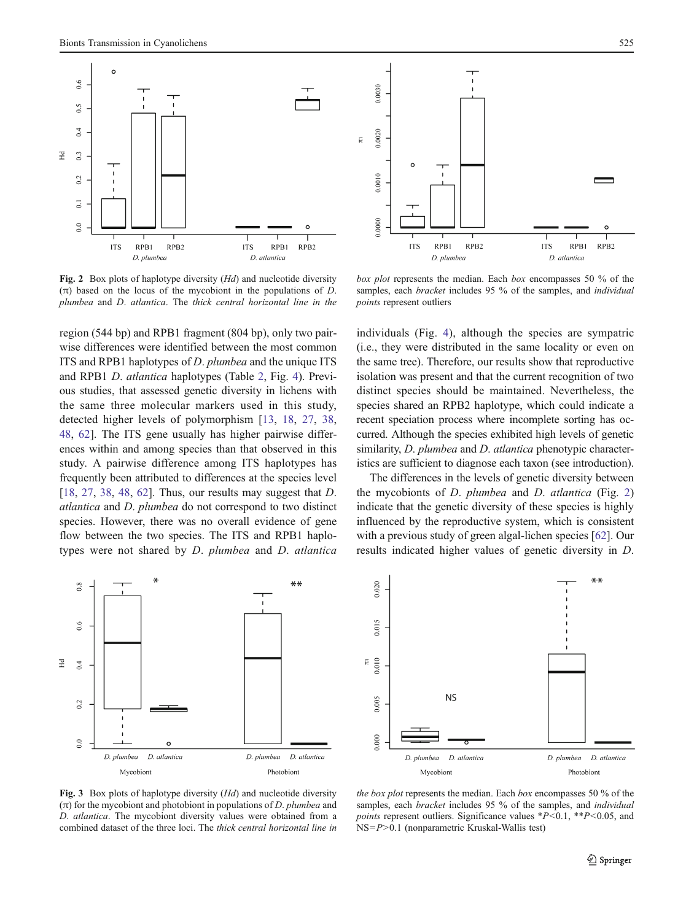<span id="page-8-0"></span>



Fig. 2 Box plots of haplotype diversity (Hd) and nucleotide diversity  $(π)$  based on the locus of the mycobiont in the populations of D. plumbea and D. atlantica. The thick central horizontal line in the

box plot represents the median. Each box encompasses 50 % of the samples, each *bracket* includes 95 % of the samples, and *individual* points represent outliers

region (544 bp) and RPB1 fragment (804 bp), only two pairwise differences were identified between the most common ITS and RPB1 haplotypes of D. plumbea and the unique ITS and RPB1 D. atlantica haplotypes (Table [2](#page-4-0), Fig. [4](#page-9-0)). Previous studies, that assessed genetic diversity in lichens with the same three molecular markers used in this study, detected higher levels of polymorphism [\[13](#page-12-0), [18](#page-12-0), [27,](#page-12-0) [38,](#page-12-0) [48](#page-12-0), [62](#page-13-0)]. The ITS gene usually has higher pairwise differences within and among species than that observed in this study. A pairwise difference among ITS haplotypes has frequently been attributed to differences at the species level [\[18](#page-12-0), [27](#page-12-0), [38,](#page-12-0) [48,](#page-12-0) [62\]](#page-13-0). Thus, our results may suggest that *D*. atlantica and D. plumbea do not correspond to two distinct species. However, there was no overall evidence of gene flow between the two species. The ITS and RPB1 haplotypes were not shared by D. plumbea and D. atlantica

 $**$  $0.8$  $0.6$  $E$  $\ddot{c}$  $0.2$  $_{\rm 0.0}$ D. atlantica D. plumbea D. atlantica D. plumbea Mycobiont Photobiont

individuals (Fig. [4](#page-9-0)), although the species are sympatric (i.e., they were distributed in the same locality or even on the same tree). Therefore, our results show that reproductive isolation was present and that the current recognition of two distinct species should be maintained. Nevertheless, the species shared an RPB2 haplotype, which could indicate a recent speciation process where incomplete sorting has occurred. Although the species exhibited high levels of genetic similarity, *D. plumbea* and *D. atlantica* phenotypic characteristics are sufficient to diagnose each taxon (see introduction).

The differences in the levels of genetic diversity between the mycobionts of  $D$ . plumbea and  $D$ . atlantica (Fig. 2) indicate that the genetic diversity of these species is highly influenced by the reproductive system, which is consistent with a previous study of green algal-lichen species [[62\]](#page-13-0). Our results indicated higher values of genetic diversity in D.



Fig. 3 Box plots of haplotype diversity (Hd) and nucleotide diversity (π) for the mycobiont and photobiont in populations of D. plumbea and D. atlantica. The mycobiont diversity values were obtained from a combined dataset of the three loci. The thick central horizontal line in

the box plot represents the median. Each box encompasses 50 % of the samples, each *bracket* includes 95 % of the samples, and *individual points* represent outliers. Significance values  $*P<0.1$ ,  $*P<0.05$ , and  $NS = P > 0.1$  (nonparametric Kruskal-Wallis test)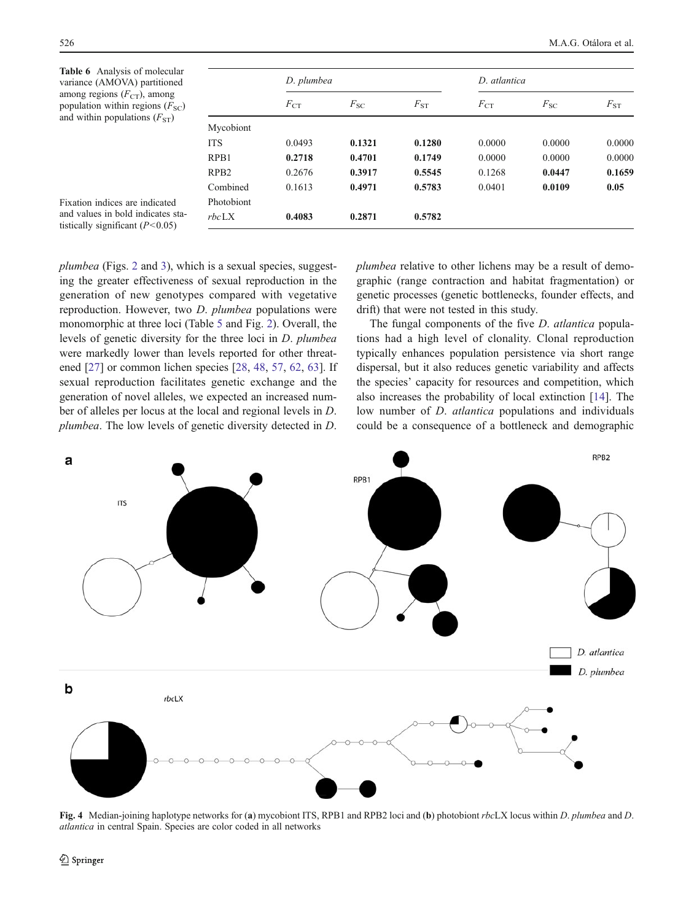<span id="page-9-0"></span>

| 526                                                                      |                  |                 |          |          |              |          | M.A.G. Otálora et al. |
|--------------------------------------------------------------------------|------------------|-----------------|----------|----------|--------------|----------|-----------------------|
| <b>Table 6</b> Analysis of molecular<br>variance (AMOVA) partitioned     |                  | D. plumbea      |          |          | D. atlantica |          |                       |
| among regions $(F_{CT})$ , among<br>population within regions $(F_{SC})$ |                  | $F_{\text{CT}}$ | $F_{SC}$ | $F_{ST}$ | $F_{\rm CT}$ | $F_{SC}$ | $F_{ST}$              |
| and within populations $(F_{ST})$                                        | Mycobiont        |                 |          |          |              |          |                       |
|                                                                          | <b>ITS</b>       | 0.0493          | 0.1321   | 0.1280   | 0.0000       | 0.0000   | 0.0000                |
|                                                                          | RPB1             | 0.2718          | 0.4701   | 0.1749   | 0.0000       | 0.0000   | 0.0000                |
|                                                                          | RPB <sub>2</sub> | 0.2676          | 0.3917   | 0.5545   | 0.1268       | 0.0447   | 0.1659                |

Combined 0.1613 0.4971 0.5783 0.0401 0.0109 0.05

rbcLX 0.4083 0.2871 0.5782

Fixation indices are indicated and values in bold indicates statistically significant  $(P<0.05)$ 

plumbea (Figs. [2](#page-8-0) and [3](#page-8-0)), which is a sexual species, suggesting the greater effectiveness of sexual reproduction in the generation of new genotypes compared with vegetative reproduction. However, two D. plumbea populations were monomorphic at three loci (Table [5](#page-7-0) and Fig. [2](#page-8-0)). Overall, the levels of genetic diversity for the three loci in D. plumbea were markedly lower than levels reported for other threatened [[27\]](#page-12-0) or common lichen species [\[28](#page-12-0), [48,](#page-12-0) [57](#page-13-0), [62,](#page-13-0) [63](#page-13-0)]. If sexual reproduction facilitates genetic exchange and the generation of novel alleles, we expected an increased number of alleles per locus at the local and regional levels in D. plumbea. The low levels of genetic diversity detected in D.

Photobiont

plumbea relative to other lichens may be a result of demographic (range contraction and habitat fragmentation) or genetic processes (genetic bottlenecks, founder effects, and drift) that were not tested in this study.

The fungal components of the five *D. atlantica* populations had a high level of clonality. Clonal reproduction typically enhances population persistence via short range dispersal, but it also reduces genetic variability and affects the species' capacity for resources and competition, which also increases the probability of local extinction [\[14](#page-12-0)]. The low number of D. atlantica populations and individuals could be a consequence of a bottleneck and demographic



Fig. 4 Median-joining haplotype networks for (a) mycobiont ITS, RPB1 and RPB2 loci and (b) photobiont rbcLX locus within D. plumbea and D. atlantica in central Spain. Species are color coded in all networks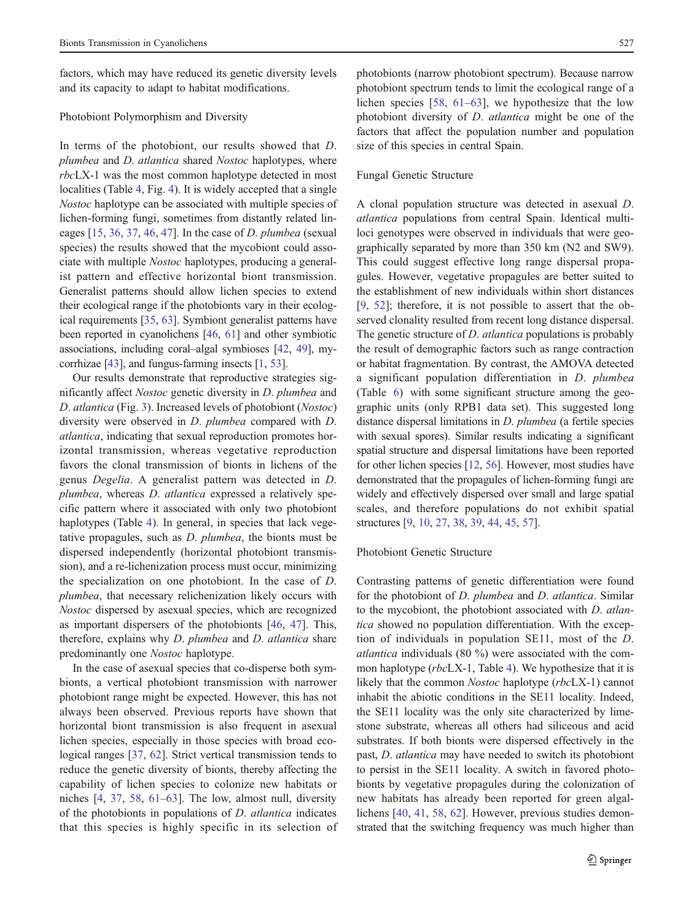factors, which may have reduced its genetic diversity levels and its capacity to adapt to habitat modifications.

# Photobiont Polymorphism and Diversity

In terms of the photobiont, our results showed that D. plumbea and D. atlantica shared Nostoc haplotypes, where rbcLX-1 was the most common haplotype detected in most localities (Table [4](#page-6-0), Fig. [4\)](#page-9-0). It is widely accepted that a single Nostoc haplotype can be associated with multiple species of lichen-forming fungi, sometimes from distantly related lineages  $[15, 36, 37, 46, 47]$  $[15, 36, 37, 46, 47]$  $[15, 36, 37, 46, 47]$  $[15, 36, 37, 46, 47]$  $[15, 36, 37, 46, 47]$  $[15, 36, 37, 46, 47]$  $[15, 36, 37, 46, 47]$  $[15, 36, 37, 46, 47]$  $[15, 36, 37, 46, 47]$  $[15, 36, 37, 46, 47]$  $[15, 36, 37, 46, 47]$ . In the case of *D. plumbea* (sexual species) the results showed that the mycobiont could associate with multiple Nostoc haplotypes, producing a generalist pattern and effective horizontal biont transmission. Generalist patterns should allow lichen species to extend their ecological range if the photobionts vary in their ecological requirements [[35,](#page-12-0) [63\]](#page-13-0). Symbiont generalist patterns have been reported in cyanolichens [\[46](#page-12-0), [61\]](#page-13-0) and other symbiotic associations, including coral–algal symbioses [\[42,](#page-12-0) [49](#page-12-0)], mycorrhizae [[43](#page-12-0)], and fungus-farming insects [\[1,](#page-11-0) [53\]](#page-13-0).

Our results demonstrate that reproductive strategies significantly affect Nostoc genetic diversity in D. plumbea and D. atlantica (Fig. [3](#page-8-0)). Increased levels of photobiont (Nostoc) diversity were observed in D. plumbea compared with D. atlantica, indicating that sexual reproduction promotes horizontal transmission, whereas vegetative reproduction favors the clonal transmission of bionts in lichens of the genus Degelia. A generalist pattern was detected in D. plumbea, whereas D. atlantica expressed a relatively specific pattern where it associated with only two photobiont haplotypes (Table [4\)](#page-6-0). In general, in species that lack vegetative propagules, such as D. plumbea, the bionts must be dispersed independently (horizontal photobiont transmission), and a re-lichenization process must occur, minimizing the specialization on one photobiont. In the case of D. plumbea, that necessary relichenization likely occurs with Nostoc dispersed by asexual species, which are recognized as important dispersers of the photobionts [\[46](#page-12-0), [47](#page-12-0)]. This, therefore, explains why D. plumbea and D. atlantica share predominantly one Nostoc haplotype.

In the case of asexual species that co-disperse both symbionts, a vertical photobiont transmission with narrower photobiont range might be expected. However, this has not always been observed. Previous reports have shown that horizontal biont transmission is also frequent in asexual lichen species, especially in those species with broad ecological ranges [\[37](#page-12-0), [62\]](#page-13-0). Strict vertical transmission tends to reduce the genetic diversity of bionts, thereby affecting the capability of lichen species to colonize new habitats or niches [\[4](#page-11-0), [37,](#page-12-0) [58](#page-13-0), [61](#page-13-0)–[63\]](#page-13-0). The low, almost null, diversity of the photobionts in populations of D. atlantica indicates that this species is highly specific in its selection of photobionts (narrow photobiont spectrum). Because narrow photobiont spectrum tends to limit the ecological range of a lichen species [[58,](#page-13-0) [61](#page-13-0)–[63](#page-13-0)], we hypothesize that the low photobiont diversity of D. atlantica might be one of the factors that affect the population number and population size of this species in central Spain.

#### Fungal Genetic Structure

A clonal population structure was detected in asexual D. atlantica populations from central Spain. Identical multiloci genotypes were observed in individuals that were geographically separated by more than 350 km (N2 and SW9). This could suggest effective long range dispersal propagules. However, vegetative propagules are better suited to the establishment of new individuals within short distances [\[9](#page-12-0), [52](#page-13-0)]; therefore, it is not possible to assert that the observed clonality resulted from recent long distance dispersal. The genetic structure of *D. atlantica* populations is probably the result of demographic factors such as range contraction or habitat fragmentation. By contrast, the AMOVA detected a significant population differentiation in D. plumbea (Table [6\)](#page-9-0) with some significant structure among the geographic units (only RPB1 data set). This suggested long distance dispersal limitations in D. plumbea (a fertile species with sexual spores). Similar results indicating a significant spatial structure and dispersal limitations have been reported for other lichen species [\[12,](#page-12-0) [56\]](#page-13-0). However, most studies have demonstrated that the propagules of lichen-forming fungi are widely and effectively dispersed over small and large spatial scales, and therefore populations do not exhibit spatial structures [\[9](#page-12-0), [10,](#page-12-0) [27,](#page-12-0) [38,](#page-12-0) [39,](#page-12-0) [44](#page-12-0), [45](#page-12-0), [57](#page-13-0)].

# Photobiont Genetic Structure

Contrasting patterns of genetic differentiation were found for the photobiont of D. plumbea and D. atlantica. Similar to the mycobiont, the photobiont associated with D. atlantica showed no population differentiation. With the exception of individuals in population SE11, most of the D. atlantica individuals (80 %) were associated with the common haplotype (rbcLX-1, Table [4\)](#page-6-0). We hypothesize that it is likely that the common *Nostoc* haplotype (*rbc*LX-1) cannot inhabit the abiotic conditions in the SE11 locality. Indeed, the SE11 locality was the only site characterized by limestone substrate, whereas all others had siliceous and acid substrates. If both bionts were dispersed effectively in the past, D. atlantica may have needed to switch its photobiont to persist in the SE11 locality. A switch in favored photobionts by vegetative propagules during the colonization of new habitats has already been reported for green algallichens [\[40](#page-12-0), [41,](#page-12-0) [58](#page-13-0), [62\]](#page-13-0). However, previous studies demonstrated that the switching frequency was much higher than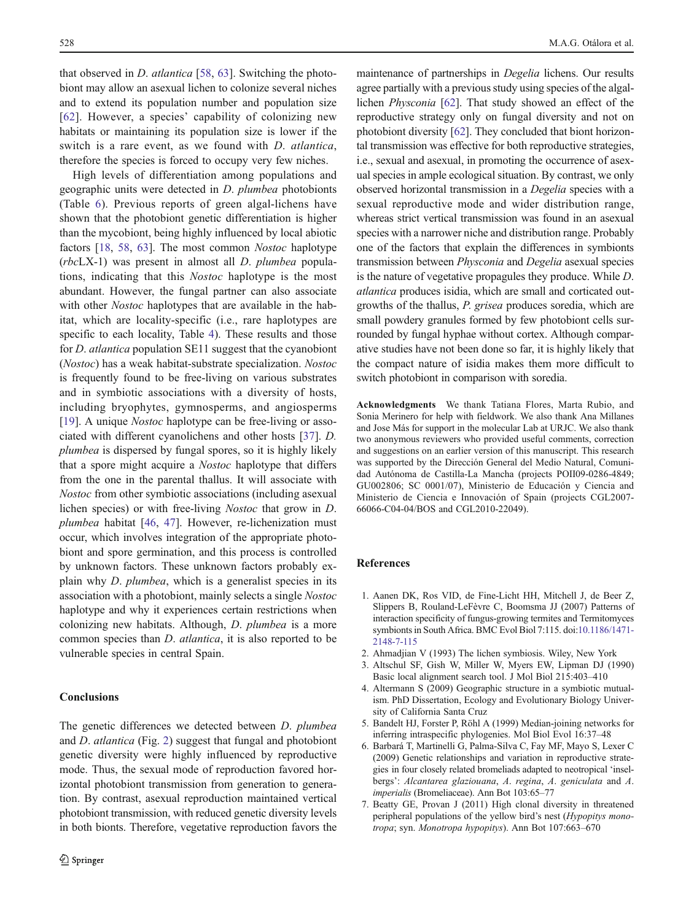<span id="page-11-0"></span>that observed in *D. atlantica* [\[58](#page-13-0), [63\]](#page-13-0). Switching the photobiont may allow an asexual lichen to colonize several niches and to extend its population number and population size [\[62\]](#page-13-0). However, a species' capability of colonizing new habitats or maintaining its population size is lower if the switch is a rare event, as we found with D. atlantica, therefore the species is forced to occupy very few niches.

High levels of differentiation among populations and geographic units were detected in D. plumbea photobionts (Table [6](#page-9-0)). Previous reports of green algal-lichens have shown that the photobiont genetic differentiation is higher than the mycobiont, being highly influenced by local abiotic factors [[18,](#page-12-0) [58](#page-13-0), [63\]](#page-13-0). The most common Nostoc haplotype (rbcLX-1) was present in almost all D. plumbea populations, indicating that this Nostoc haplotype is the most abundant. However, the fungal partner can also associate with other *Nostoc* haplotypes that are available in the habitat, which are locality-specific (i.e., rare haplotypes are specific to each locality, Table [4](#page-6-0)). These results and those for *D. atlantica* population SE11 suggest that the cyanobiont (Nostoc) has a weak habitat-substrate specialization. Nostoc is frequently found to be free-living on various substrates and in symbiotic associations with a diversity of hosts, including bryophytes, gymnosperms, and angiosperms [\[19](#page-12-0)]. A unique *Nostoc* haplotype can be free-living or associated with different cyanolichens and other hosts [\[37](#page-12-0)]. D. plumbea is dispersed by fungal spores, so it is highly likely that a spore might acquire a Nostoc haplotype that differs from the one in the parental thallus. It will associate with Nostoc from other symbiotic associations (including asexual lichen species) or with free-living Nostoc that grow in D. plumbea habitat [\[46](#page-12-0), [47\]](#page-12-0). However, re-lichenization must occur, which involves integration of the appropriate photobiont and spore germination, and this process is controlled by unknown factors. These unknown factors probably explain why D. plumbea, which is a generalist species in its association with a photobiont, mainly selects a single Nostoc haplotype and why it experiences certain restrictions when colonizing new habitats. Although, D. plumbea is a more common species than D. atlantica, it is also reported to be vulnerable species in central Spain.

# **Conclusions**

The genetic differences we detected between D. plumbea and D. atlantica (Fig. [2](#page-8-0)) suggest that fungal and photobiont genetic diversity were highly influenced by reproductive mode. Thus, the sexual mode of reproduction favored horizontal photobiont transmission from generation to generation. By contrast, asexual reproduction maintained vertical photobiont transmission, with reduced genetic diversity levels in both bionts. Therefore, vegetative reproduction favors the

maintenance of partnerships in Degelia lichens. Our results agree partially with a previous study using species of the algallichen Physconia [\[62](#page-13-0)]. That study showed an effect of the reproductive strategy only on fungal diversity and not on photobiont diversity [[62\]](#page-13-0). They concluded that biont horizontal transmission was effective for both reproductive strategies, i.e., sexual and asexual, in promoting the occurrence of asexual species in ample ecological situation. By contrast, we only observed horizontal transmission in a Degelia species with a sexual reproductive mode and wider distribution range, whereas strict vertical transmission was found in an asexual species with a narrower niche and distribution range. Probably one of the factors that explain the differences in symbionts transmission between Physconia and Degelia asexual species is the nature of vegetative propagules they produce. While D. atlantica produces isidia, which are small and corticated outgrowths of the thallus, P. grisea produces soredia, which are small powdery granules formed by few photobiont cells surrounded by fungal hyphae without cortex. Although comparative studies have not been done so far, it is highly likely that the compact nature of isidia makes them more difficult to switch photobiont in comparison with soredia.

Acknowledgments We thank Tatiana Flores, Marta Rubio, and Sonia Merinero for help with fieldwork. We also thank Ana Millanes and Jose Más for support in the molecular Lab at URJC. We also thank two anonymous reviewers who provided useful comments, correction and suggestions on an earlier version of this manuscript. This research was supported by the Dirección General del Medio Natural, Comunidad Autónoma de Castilla-La Mancha (projects POII09-0286-4849; GU002806; SC 0001/07), Ministerio de Educación y Ciencia and Ministerio de Ciencia e Innovación of Spain (projects CGL2007- 66066-C04-04/BOS and CGL2010-22049).

#### References

- 1. Aanen DK, Ros VID, de Fine-Licht HH, Mitchell J, de Beer Z, Slippers B, Rouland-LeFèvre C, Boomsma JJ (2007) Patterns of interaction specificity of fungus-growing termites and Termitomyces symbionts in South Africa. BMC Evol Biol 7:115. doi[:10.1186/1471-](http://dx.doi.org/10.1186/1471-2148-7-115) [2148-7-115](http://dx.doi.org/10.1186/1471-2148-7-115)
- 2. Ahmadjian V (1993) The lichen symbiosis. Wiley, New York
- 3. Altschul SF, Gish W, Miller W, Myers EW, Lipman DJ (1990) Basic local alignment search tool. J Mol Biol 215:403–410
- 4. Altermann S (2009) Geographic structure in a symbiotic mutualism. PhD Dissertation, Ecology and Evolutionary Biology University of California Santa Cruz
- 5. Bandelt HJ, Forster P, Röhl A (1999) Median-joining networks for inferring intraspecific phylogenies. Mol Biol Evol 16:37–48
- 6. Barbará T, Martinelli G, Palma-Silva C, Fay MF, Mayo S, Lexer C (2009) Genetic relationships and variation in reproductive strategies in four closely related bromeliads adapted to neotropical 'inselbergs': Alcantarea glaziouana, A. regina, A. geniculata and A. imperialis (Bromeliaceae). Ann Bot 103:65–77
- 7. Beatty GE, Provan J (2011) High clonal diversity in threatened peripheral populations of the yellow bird's nest (Hypopitys monotropa; syn. Monotropa hypopitys). Ann Bot 107:663–670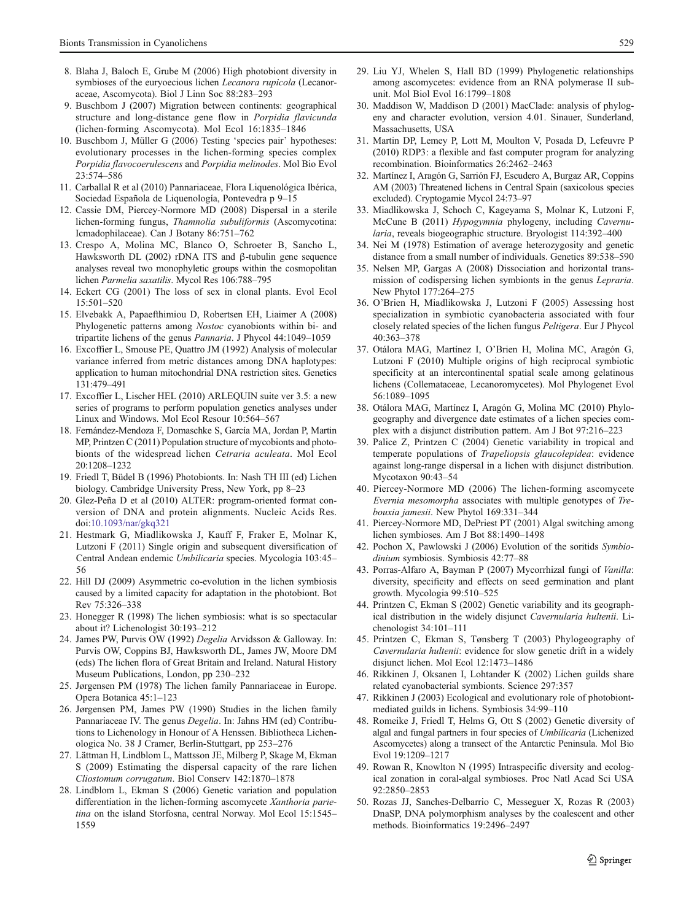- <span id="page-12-0"></span>8. Blaha J, Baloch E, Grube M (2006) High photobiont diversity in symbioses of the euryoecious lichen Lecanora rupicola (Lecanoraceae, Ascomycota). Biol J Linn Soc 88:283–293
- 9. Buschbom J (2007) Migration between continents: geographical structure and long-distance gene flow in Porpidia flavicunda (lichen-forming Ascomycota). Mol Ecol 16:1835–1846
- 10. Buschbom J, Müller G (2006) Testing 'species pair' hypotheses: evolutionary processes in the lichen-forming species complex Porpidia flavocoerulescens and Porpidia melinodes. Mol Bio Evol 23:574–586
- 11. Carballal R et al (2010) Pannariaceae, Flora Liquenológica Ibérica, Sociedad Española de Liquenología, Pontevedra p 9–15
- 12. Cassie DM, Piercey-Normore MD (2008) Dispersal in a sterile lichen-forming fungus, Thamnolia subuliformis (Ascomycotina: Icmadophilaceae). Can J Botany 86:751–762
- 13. Crespo A, Molina MC, Blanco O, Schroeter B, Sancho L, Hawksworth DL (2002) rDNA ITS and β-tubulin gene sequence analyses reveal two monophyletic groups within the cosmopolitan lichen Parmelia saxatilis. Mycol Res 106:788–795
- 14. Eckert CG (2001) The loss of sex in clonal plants. Evol Ecol 15:501–520
- 15. Elvebakk A, Papaefthimiou D, Robertsen EH, Liaimer A (2008) Phylogenetic patterns among Nostoc cyanobionts within bi- and tripartite lichens of the genus Pannaria. J Phycol 44:1049–1059
- 16. Excoffier L, Smouse PE, Quattro JM (1992) Analysis of molecular variance inferred from metric distances among DNA haplotypes: application to human mitochondrial DNA restriction sites. Genetics 131:479–491
- 17. Excoffier L, Lischer HEL (2010) ARLEQUIN suite ver 3.5: a new series of programs to perform population genetics analyses under Linux and Windows. Mol Ecol Resour 10:564–567
- 18. Fernández-Mendoza F, Domaschke S, García MA, Jordan P, Martin MP, Printzen C (2011) Population structure of mycobionts and photobionts of the widespread lichen Cetraria aculeata. Mol Ecol 20:1208–1232
- 19. Friedl T, Büdel B (1996) Photobionts. In: Nash TH III (ed) Lichen biology. Cambridge University Press, New York, pp 8–23
- 20. Glez-Peña D et al (2010) ALTER: program-oriented format conversion of DNA and protein alignments. Nucleic Acids Res. doi[:10.1093/nar/gkq321](http://dx.doi.org/http://10.1093/nar/gkq321)
- 21. Hestmark G, Miadlikowska J, Kauff F, Fraker E, Molnar K, Lutzoni F (2011) Single origin and subsequent diversification of Central Andean endemic Umbilicaria species. Mycologia 103:45– 56
- 22. Hill DJ (2009) Asymmetric co-evolution in the lichen symbiosis caused by a limited capacity for adaptation in the photobiont. Bot Rev 75:326–338
- 23. Honegger R (1998) The lichen symbiosis: what is so spectacular about it? Lichenologist 30:193–212
- 24. James PW, Purvis OW (1992) Degelia Arvidsson & Galloway. In: Purvis OW, Coppins BJ, Hawksworth DL, James JW, Moore DM (eds) The lichen flora of Great Britain and Ireland. Natural History Museum Publications, London, pp 230–232
- 25. Jørgensen PM (1978) The lichen family Pannariaceae in Europe. Opera Botanica 45:1–123
- 26. Jørgensen PM, James PW (1990) Studies in the lichen family Pannariaceae IV. The genus Degelia. In: Jahns HM (ed) Contributions to Lichenology in Honour of A Henssen. Bibliotheca Lichenologica No. 38 J Cramer, Berlin-Stuttgart, pp 253–276
- 27. Lättman H, Lindblom L, Mattsson JE, Milberg P, Skage M, Ekman S (2009) Estimating the dispersal capacity of the rare lichen Cliostomum corrugatum. Biol Conserv 142:1870–1878
- 28. Lindblom L, Ekman S (2006) Genetic variation and population differentiation in the lichen-forming ascomycete Xanthoria parietina on the island Storfosna, central Norway. Mol Ecol 15:1545– 1559
- 29. Liu YJ, Whelen S, Hall BD (1999) Phylogenetic relationships among ascomycetes: evidence from an RNA polymerase II subunit. Mol Biol Evol 16:1799–1808
- 30. Maddison W, Maddison D (2001) MacClade: analysis of phylogeny and character evolution, version 4.01. Sinauer, Sunderland, Massachusetts, USA
- 31. Martin DP, Lemey P, Lott M, Moulton V, Posada D, Lefeuvre P (2010) RDP3: a flexible and fast computer program for analyzing recombination. Bioinformatics 26:2462–2463
- 32. Martínez I, Aragón G, Sarrión FJ, Escudero A, Burgaz AR, Coppins AM (2003) Threatened lichens in Central Spain (saxicolous species excluded). Cryptogamie Mycol 24:73–97
- 33. Miadlikowska J, Schoch C, Kageyama S, Molnar K, Lutzoni F, McCune B (2011) Hypogymnia phylogeny, including Cavernularia, reveals biogeographic structure. Bryologist 114:392–400
- 34. Nei M (1978) Estimation of average heterozygosity and genetic distance from a small number of individuals. Genetics 89:538–590
- 35. Nelsen MP, Gargas A (2008) Dissociation and horizontal transmission of codispersing lichen symbionts in the genus Lepraria. New Phytol 177:264–275
- 36. O'Brien H, Miadlikowska J, Lutzoni F (2005) Assessing host specialization in symbiotic cyanobacteria associated with four closely related species of the lichen fungus Peltigera. Eur J Phycol 40:363–378
- 37. Otálora MAG, Martínez I, O'Brien H, Molina MC, Aragón G, Lutzoni F (2010) Multiple origins of high reciprocal symbiotic specificity at an intercontinental spatial scale among gelatinous lichens (Collemataceae, Lecanoromycetes). Mol Phylogenet Evol 56:1089–1095
- 38. Otálora MAG, Martínez I, Aragón G, Molina MC (2010) Phylogeography and divergence date estimates of a lichen species complex with a disjunct distribution pattern. Am J Bot 97:216–223
- 39. Palice Z, Printzen C (2004) Genetic variability in tropical and temperate populations of Trapeliopsis glaucolepidea: evidence against long-range dispersal in a lichen with disjunct distribution. Mycotaxon 90:43–54
- 40. Piercey-Normore MD (2006) The lichen-forming ascomycete Evernia mesomorpha associates with multiple genotypes of Trebouxia jamesii. New Phytol 169:331–344
- 41. Piercey-Normore MD, DePriest PT (2001) Algal switching among lichen symbioses. Am J Bot 88:1490–1498
- 42. Pochon X, Pawlowski J (2006) Evolution of the soritids Symbiodinium symbiosis. Symbiosis 42:77–88
- 43. Porras-Alfaro A, Bayman P (2007) Mycorrhizal fungi of Vanilla: diversity, specificity and effects on seed germination and plant growth. Mycologia 99:510–525
- 44. Printzen C, Ekman S (2002) Genetic variability and its geographical distribution in the widely disjunct Cavernularia hultenii. Lichenologist 34:101–111
- 45. Printzen C, Ekman S, Tønsberg T (2003) Phylogeography of Cavernularia hultenii: evidence for slow genetic drift in a widely disjunct lichen. Mol Ecol 12:1473–1486
- 46. Rikkinen J, Oksanen I, Lohtander K (2002) Lichen guilds share related cyanobacterial symbionts. Science 297:357
- 47. Rikkinen J (2003) Ecological and evolutionary role of photobiontmediated guilds in lichens. Symbiosis 34:99–110
- 48. Romeike J, Friedl T, Helms G, Ott S (2002) Genetic diversity of algal and fungal partners in four species of Umbilicaria (Lichenized Ascomycetes) along a transect of the Antarctic Peninsula. Mol Bio Evol 19:1209–1217
- 49. Rowan R, Knowlton N (1995) Intraspecific diversity and ecological zonation in coral-algal symbioses. Proc Natl Acad Sci USA 92:2850–2853
- 50. Rozas JJ, Sanches-Delbarrio C, Messeguer X, Rozas R (2003) DnaSP, DNA polymorphism analyses by the coalescent and other methods. Bioinformatics 19:2496–2497